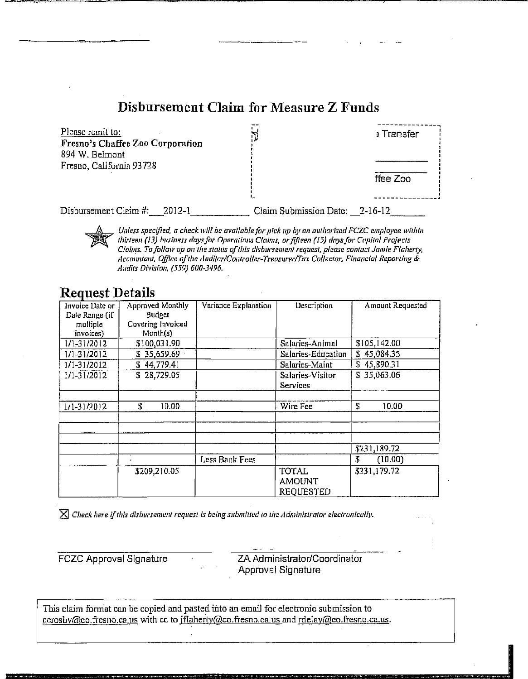### Disbursement Claim for Measure Z Funds

| Please remit to:<br>Fresno's Chaffee Zoo Corporation<br>894 W. Belmont<br>Fresno, California 93728 |                        | <b>Exampler</b> |  |
|----------------------------------------------------------------------------------------------------|------------------------|-----------------|--|
|                                                                                                    |                        | ffee Zoo        |  |
| Disbursement Claim #:<br>2012-1                                                                    | Claim Submission Date: | 2-16-12         |  |

Unless specified, a check will be available for pick up by an authorized FCZC employee within thirteen (13) business days for Operations Claims, or fifteen (15) days for Capital Projects Claims. To follow up on the status of this disbursement request, please contact Jamie Flaherty, Accountant, Office of the Auditor/Controller-Treasurer/Tax Collector, Financial Reporting & Audits Division. (559) 600-3496.

#### **Request Details**

| Invoice Date or | Approved Monthly  | Variance Explanation | Description        | Amount Requested |
|-----------------|-------------------|----------------------|--------------------|------------------|
| Date Range (if  | Budget            |                      |                    |                  |
| multiple        | Covering Invoiced |                      |                    |                  |
| invoices)       | Month(s)          |                      |                    |                  |
| $1/1 - 31/2012$ | \$100,031.90      |                      | Salaries-Animal    | \$105,142.00     |
| 1/1-31/2012     | \$35,659.69       |                      | Salaries-Education | \$45,084.35      |
| 1/1-31/2012     | \$44,779.41       |                      | Salaries-Maint     | \$45,890.31      |
| 1/1-31/2012     | \$28,729.05       |                      | Salaries-Visitor   | \$35,063.06      |
|                 |                   |                      | Services           |                  |
|                 |                   |                      |                    |                  |
| 1/1-31/2012     | Ŧ.<br>10.00       |                      | Wire Fee           | ፔ<br>10.00       |
|                 |                   |                      |                    |                  |
|                 |                   |                      |                    |                  |
|                 |                   |                      |                    |                  |
|                 |                   |                      |                    | \$231,189.72     |
|                 |                   | Less Bank Fees       |                    | £<br>(10.00)     |
|                 | \$209,210.05      |                      | <b>TOTAL</b>       | \$231,179.72     |
|                 |                   |                      | <b>AMOUNT</b>      |                  |
|                 |                   |                      | <b>REQUESTED</b>   |                  |

 $\boxtimes$  Check here if this disbursement request is being submitted to the Administrator electronically.

**FCZC Approval Signature** 

ZA Administrator/Coordinator **Approval Signature** 

This claim format can be copied and pasted into an email for electronic submission to cerosby@co.fresno.ca.us with cc to jflaherty@co.fresno.ca.us and rdelay@co.fresno.ca.us.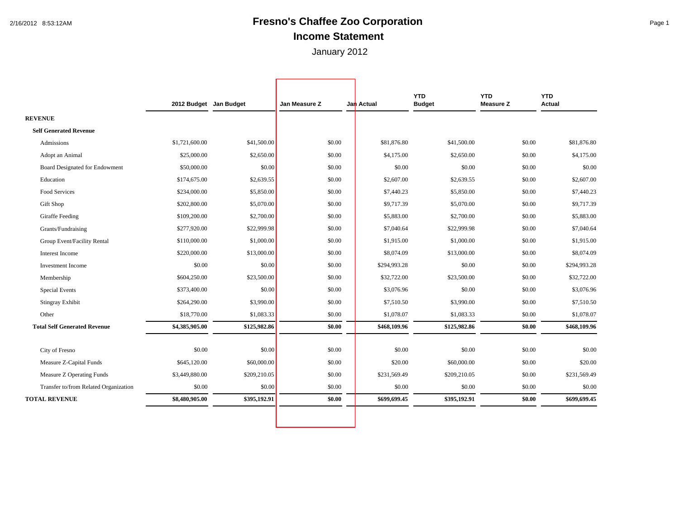## 2/16/2012 8:53:12AM **Fresno's Chaffee Zoo Corporation** Page 1 **Income Statement**

January 2012

Г

٦

|                                       | 2012 Budget Jan Budget |              | Jan Measure Z | Jan Actual   | <b>YTD</b><br><b>Budget</b> | <b>YTD</b><br><b>Measure Z</b> | <b>YTD</b><br>Actual |
|---------------------------------------|------------------------|--------------|---------------|--------------|-----------------------------|--------------------------------|----------------------|
| <b>REVENUE</b>                        |                        |              |               |              |                             |                                |                      |
| <b>Self Generated Revenue</b>         |                        |              |               |              |                             |                                |                      |
| Admissions                            | \$1,721,600.00         | \$41,500.00  | \$0.00        | \$81,876.80  | \$41,500.00                 | \$0.00                         | \$81,876.80          |
| Adopt an Animal                       | \$25,000.00            | \$2,650.00   | \$0.00        | \$4,175.00   | \$2,650.00                  | \$0.00                         | \$4,175.00           |
| Board Designated for Endowment        | \$50,000.00            | \$0.00       | \$0.00        | \$0.00       | \$0.00                      | \$0.00                         | \$0.00               |
| Education                             | \$174,675.00           | \$2,639.55   | \$0.00        | \$2,607.00   | \$2,639.55                  | \$0.00                         | \$2,607.00           |
| <b>Food Services</b>                  | \$234,000.00           | \$5,850.00   | \$0.00        | \$7,440.23   | \$5,850.00                  | \$0.00                         | \$7,440.23           |
| Gift Shop                             | \$202,800.00           | \$5,070.00   | \$0.00        | \$9,717.39   | \$5,070.00                  | \$0.00                         | \$9,717.39           |
| <b>Giraffe Feeding</b>                | \$109,200.00           | \$2,700.00   | \$0.00        | \$5,883.00   | \$2,700.00                  | \$0.00                         | \$5,883.00           |
| Grants/Fundraising                    | \$277,920.00           | \$22,999.98  | \$0.00        | \$7,040.64   | \$22,999.98                 | \$0.00                         | \$7,040.64           |
| Group Event/Facility Rental           | \$110,000.00           | \$1,000.00   | \$0.00        | \$1,915.00   | \$1,000.00                  | \$0.00                         | \$1,915.00           |
| Interest Income                       | \$220,000.00           | \$13,000.00  | \$0.00        | \$8,074.09   | \$13,000.00                 | \$0.00                         | \$8,074.09           |
| <b>Investment Income</b>              | \$0.00                 | \$0.00       | \$0.00        | \$294,993.28 | \$0.00                      | \$0.00                         | \$294,993.28         |
| Membership                            | \$604,250.00           | \$23,500.00  | \$0.00        | \$32,722.00  | \$23,500.00                 | \$0.00                         | \$32,722.00          |
| <b>Special Events</b>                 | \$373,400.00           | \$0.00       | \$0.00        | \$3,076.96   | \$0.00                      | \$0.00                         | \$3,076.96           |
| <b>Stingray Exhibit</b>               | \$264,290.00           | \$3,990.00   | \$0.00        | \$7,510.50   | \$3,990.00                  | \$0.00                         | \$7,510.50           |
| Other                                 | \$18,770.00            | \$1,083.33   | \$0.00        | \$1,078.07   | \$1,083.33                  | \$0.00                         | \$1,078.07           |
| <b>Total Self Generated Revenue</b>   | \$4,385,905.00         | \$125,982.86 | \$0.00        | \$468,109.96 | \$125,982.86                | \$0.00                         | \$468,109.96         |
|                                       |                        |              |               |              |                             |                                |                      |
| City of Fresno                        | \$0.00                 | \$0.00       | \$0.00        | \$0.00       | \$0.00                      | \$0.00                         | \$0.00               |
| Measure Z-Capital Funds               | \$645,120.00           | \$60,000.00  | \$0.00        | \$20.00      | \$60,000.00                 | \$0.00                         | \$20.00              |
| Measure Z Operating Funds             | \$3,449,880.00         | \$209,210.05 | \$0.00        | \$231,569.49 | \$209,210.05                | \$0.00                         | \$231,569.49         |
| Transfer to/from Related Organization | \$0.00                 | \$0.00       | \$0.00        | \$0.00       | \$0.00                      | \$0.00                         | \$0.00               |
| <b>TOTAL REVENUE</b>                  | \$8,480,905.00         | \$395,192.91 | \$0.00        | \$699,699.45 | \$395,192.91                | \$0.00                         | \$699,699.45         |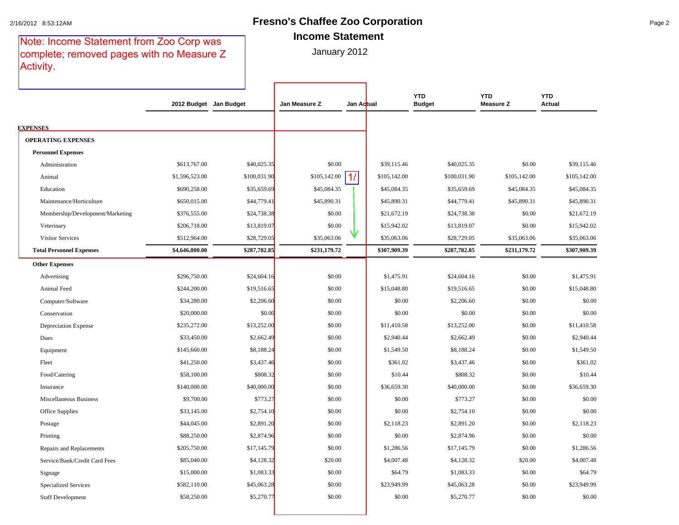#### 2/16/2012 8:53:12AM **Fresno's Chaffee Zoo Corporation** Page 2 **Income Statement**

Note: Income Statement from Zoo Corp was complete; removed pages with no Measure Z Activity.

|  |  |  | ncome stateme |  |  |
|--|--|--|---------------|--|--|
|  |  |  |               |  |  |

|                                  | 2012 Budget Jan Budget |              | Jan Measure Z | Jan Actual |              | <b>YTD</b><br><b>Budget</b> | <b>YTD</b><br><b>Measure Z</b> | <b>YTD</b><br><b>Actual</b> |
|----------------------------------|------------------------|--------------|---------------|------------|--------------|-----------------------------|--------------------------------|-----------------------------|
|                                  |                        |              |               |            |              |                             |                                |                             |
| <b>EXPENSES</b>                  |                        |              |               |            |              |                             |                                |                             |
| <b>OPERATING EXPENSES</b>        |                        |              |               |            |              |                             |                                |                             |
| <b>Personnel Expenses</b>        |                        |              |               |            |              |                             |                                |                             |
| Administration                   | \$613,767.00           | \$40,025.35  | \$0.00        |            | \$39,115.46  | \$40,025.35                 | \$0.00                         | \$39,115.46                 |
| Animal                           | \$1,596,523.00         | \$100,031.90 | \$105,142.00  | 1/         | \$105,142.00 | \$100,031.90                | \$105,142.00                   | \$105,142.00                |
| Education                        | \$690,258.00           | \$35,659.69  | \$45,084.35   |            | \$45,084.35  | \$35,659.69                 | \$45,084.35                    | \$45,084.35                 |
| Maintenance/Horticulture         | \$650,015.00           | \$44,779.41  | \$45,890.31   |            | \$45,890.31  | \$44,779.41                 | \$45,890.31                    | \$45,890.31                 |
| Membership/Development/Marketing | \$376,555.00           | \$24,738.38  | \$0.00        |            | \$21,672.19  | \$24,738.38                 | \$0.00                         | \$21,672.19                 |
| Veterinary                       | \$206,718.00           | \$13,819.07  | \$0.00        |            | \$15,942.02  | \$13,819.07                 | \$0.00                         | \$15,942.02                 |
| <b>Visitor Services</b>          | \$512,964.00           | \$28,729.05  | \$35,063.06   |            | \$35,063.06  | \$28,729.05                 | \$35,063.06                    | \$35,063.06                 |
| <b>Total Personnel Expenses</b>  | \$4,646,800.00         | \$287,782.85 | \$231,179.72  |            | \$307,909.39 | \$287,782.85                | \$231,179.72                   | \$307,909.39                |
| <b>Other Expenses</b>            |                        |              |               |            |              |                             |                                |                             |
| Advertising                      | \$296,750.00           | \$24,604.16  | \$0.00        |            | \$1,475.91   | \$24,604.16                 | \$0.00                         | \$1,475.91                  |
| Animal Feed                      | \$244,200.00           | \$19,516.65  | \$0.00        |            | \$15,048.80  | \$19,516.65                 | \$0.00                         | \$15,048.80                 |
| Computer/Software                | \$34,280.00            | \$2,206.60   | \$0.00        |            | \$0.00       | \$2,206.60                  | \$0.00                         | \$0.00                      |
| Conservation                     | \$20,000.00            | \$0.00       | \$0.00        |            | \$0.00       | \$0.00                      | \$0.00                         | \$0.00                      |
| <b>Depreciation Expense</b>      | \$235,272.00           | \$13,252.00  | \$0.00        |            | \$11,410.58  | \$13,252.00                 | \$0.00                         | \$11,410.58                 |
| Dues                             | \$33,450.00            | \$2,662.49   | \$0.00        |            | \$2,940.44   | \$2,662.49                  | \$0.00                         | \$2,940.44                  |
| Equipment                        | \$145,660.00           | \$8,188.24   | \$0.00        |            | \$1,549.50   | \$8,188.24                  | \$0.00                         | \$1,549.50                  |
| Fleet                            | \$41,250.00            | \$3,437.46   | \$0.00        |            | \$361.02     | \$3,437.46                  | \$0.00                         | \$361.02                    |
| Food/Catering                    | \$58,100.00            | \$808.32     | \$0.00        |            | \$10.44      | \$808.32                    | \$0.00                         | \$10.44                     |
| Insurance                        | \$140,000.00           | \$40,000.00  | \$0.00        |            | \$36,659.30  | \$40,000.00                 | \$0.00                         | \$36,659.30                 |
| Miscellaneous Business           | \$9,700.00             | \$773.27     | \$0.00        |            | \$0.00       | \$773.27                    | \$0.00                         | \$0.00                      |
| Office Supplies                  | \$33,145.00            | \$2,754.10   | \$0.00        |            | \$0.00       | \$2,754.10                  | \$0.00                         | \$0.00                      |
| Postage                          | \$44,045.00            | \$2,891.20   | \$0.00        |            | \$2,118.23   | \$2,891.20                  | \$0.00                         | \$2,118.23                  |
| Printing                         | \$88,250.00            | \$2,874.96   | \$0.00        |            | \$0.00       | \$2,874.96                  | \$0.00                         | \$0.00                      |
| Repairs and Replacements         | \$205,750.00           | \$17,145.79  | \$0.00        |            | \$1,286.56   | \$17,145.79                 | \$0.00                         | \$1,286.56                  |
| Service/Bank/Credit Card Fees    | \$85,040.00            | \$4,128.32   | \$20.00       |            | \$4,007.48   | \$4,128.32                  | \$20.00                        | \$4,007.48                  |
| Signage                          | \$15,000.00            | \$1,083.33   | \$0.00        |            | \$64.79      | \$1,083.33                  | \$0.00                         | \$64.79                     |
| <b>Specialized Services</b>      | \$582,110.00           | \$45,063.28  | \$0.00        |            | \$23,949.99  | \$45,063.28                 | \$0.00                         | \$23,949.99                 |
| <b>Staff Development</b>         | \$58,250.00            | \$5,270.77   | \$0.00        |            | \$0.00       | \$5,270.77                  | \$0.00                         | \$0.00                      |
|                                  |                        |              |               |            |              |                             |                                |                             |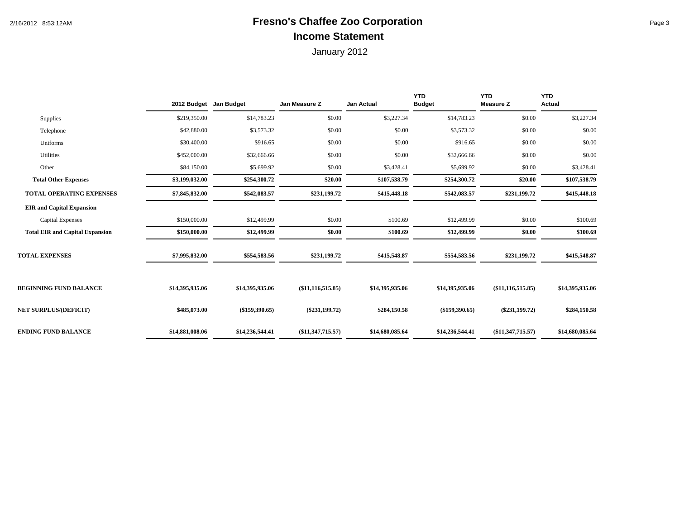## 2/16/2012 8:53:12AM **Fresno's Chaffee Zoo Corporation** Page 3 **Income Statement**

|                                        | 2012 Budget Jan Budget |                  | Jan Measure Z       | Jan Actual      | <b>YTD</b><br><b>Budget</b> | <b>YTD</b><br><b>Measure Z</b> | <b>YTD</b><br><b>Actual</b> |
|----------------------------------------|------------------------|------------------|---------------------|-----------------|-----------------------------|--------------------------------|-----------------------------|
| <b>Supplies</b>                        | \$219,350.00           | \$14,783.23      | \$0.00              | \$3,227.34      | \$14,783.23                 | \$0.00                         | \$3,227.34                  |
| Telephone                              | \$42,880.00            | \$3,573.32       | \$0.00              | \$0.00          | \$3,573.32                  | \$0.00                         | \$0.00                      |
| Uniforms                               | \$30,400.00            | \$916.65         | \$0.00              | \$0.00          | \$916.65                    | \$0.00                         | \$0.00                      |
| Utilities                              | \$452,000.00           | \$32,666.66      | \$0.00              | \$0.00          | \$32,666.66                 | \$0.00                         | \$0.00                      |
| Other                                  | \$84,150.00            | \$5,699.92       | \$0.00              | \$3,428.41      | \$5,699.92                  | \$0.00                         | \$3,428.41                  |
| <b>Total Other Expenses</b>            | \$3,199,032.00         | \$254,300.72     | \$20.00             | \$107,538.79    | \$254,300.72                | \$20.00                        | \$107,538.79                |
| <b>TOTAL OPERATING EXPENSES</b>        | \$7,845,832.00         | \$542,083.57     | \$231,199.72        | \$415,448.18    | \$542,083.57                | \$231,199.72                   | \$415,448.18                |
| <b>EIR and Capital Expansion</b>       |                        |                  |                     |                 |                             |                                |                             |
| Capital Expenses                       | \$150,000.00           | \$12,499.99      | \$0.00              | \$100.69        | \$12,499.99                 | \$0.00                         | \$100.69                    |
| <b>Total EIR and Capital Expansion</b> | \$150,000.00           | \$12,499.99      | \$0.00              | \$100.69        | \$12,499.99                 | \$0.00                         | \$100.69                    |
| <b>TOTAL EXPENSES</b>                  | \$7,995,832.00         | \$554,583.56     | \$231,199.72        | \$415,548.87    | \$554,583.56                | \$231,199.72                   | \$415,548.87                |
| <b>BEGINNING FUND BALANCE</b>          | \$14,395,935.06        | \$14,395,935.06  | (\$11,116,515.85)   | \$14,395,935.06 | \$14,395,935.06             | (\$11,116,515.85)              | \$14,395,935.06             |
| <b>NET SURPLUS/(DEFICIT)</b>           | \$485,073.00           | $(\$159,390.65)$ | $(\$231,199.72)$    | \$284,150.58    | $(\$159,390.65)$            | $(\$231,199.72)$               | \$284,150.58                |
| <b>ENDING FUND BALANCE</b>             | \$14,881,008.06        | \$14,236,544.41  | $(\$11,347,715.57)$ | \$14,680,085.64 | \$14,236,544.41             | (\$11,347,715.57)              | \$14,680,085.64             |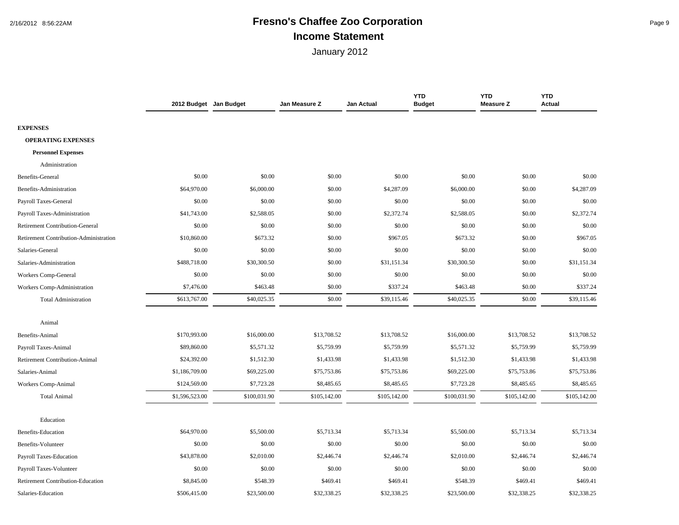## 2/16/2012 8:56:22AM **Fresno's Chaffee Zoo Corporation** Page 9 **Income Statement**

|                                        | 2012 Budget Jan Budget |              | Jan Measure Z | Jan Actual   | <b>YTD</b><br><b>Budget</b> | <b>YTD</b><br><b>Measure Z</b> | <b>YTD</b><br>Actual |
|----------------------------------------|------------------------|--------------|---------------|--------------|-----------------------------|--------------------------------|----------------------|
|                                        |                        |              |               |              |                             |                                |                      |
| <b>EXPENSES</b>                        |                        |              |               |              |                             |                                |                      |
| <b>OPERATING EXPENSES</b>              |                        |              |               |              |                             |                                |                      |
| <b>Personnel Expenses</b>              |                        |              |               |              |                             |                                |                      |
| Administration                         |                        |              |               |              |                             |                                |                      |
| Benefits-General                       | \$0.00                 | \$0.00       | \$0.00        | \$0.00       | \$0.00                      | \$0.00                         | \$0.00               |
| Benefits-Administration                | \$64,970.00            | \$6,000.00   | \$0.00        | \$4,287.09   | \$6,000.00                  | \$0.00                         | \$4,287.09           |
| Payroll Taxes-General                  | \$0.00                 | \$0.00       | \$0.00        | \$0.00       | \$0.00                      | \$0.00                         | \$0.00               |
| Payroll Taxes-Administration           | \$41,743.00            | \$2,588.05   | \$0.00        | \$2,372.74   | \$2,588.05                  | \$0.00                         | \$2,372.74           |
| <b>Retirement Contribution-General</b> | \$0.00                 | \$0.00       | \$0.00        | \$0.00       | \$0.00                      | \$0.00                         | \$0.00               |
| Retirement Contribution-Administration | \$10,860.00            | \$673.32     | \$0.00        | \$967.05     | \$673.32                    | \$0.00                         | \$967.05             |
| Salaries-General                       | \$0.00                 | \$0.00       | \$0.00        | \$0.00       | \$0.00                      | \$0.00                         | \$0.00               |
| Salaries-Administration                | \$488,718.00           | \$30,300.50  | \$0.00        | \$31,151.34  | \$30,300.50                 | \$0.00                         | \$31,151.34          |
| <b>Workers Comp-General</b>            | \$0.00                 | \$0.00       | \$0.00        | \$0.00       | \$0.00                      | \$0.00                         | \$0.00               |
| Workers Comp-Administration            | \$7,476.00             | \$463.48     | \$0.00        | \$337.24     | \$463.48                    | \$0.00                         | \$337.24             |
| <b>Total Administration</b>            | \$613,767.00           | \$40,025.35  | \$0.00        | \$39,115.46  | \$40,025.35                 | \$0.00                         | \$39,115.46          |
| Animal                                 |                        |              |               |              |                             |                                |                      |
| Benefits-Animal                        | \$170,993.00           | \$16,000.00  | \$13,708.52   | \$13,708.52  | \$16,000.00                 | \$13,708.52                    | \$13,708.52          |
| Payroll Taxes-Animal                   | \$89,860.00            | \$5,571.32   | \$5,759.99    | \$5,759.99   | \$5,571.32                  | \$5,759.99                     | \$5,759.99           |
| <b>Retirement Contribution-Animal</b>  | \$24,392.00            | \$1,512.30   | \$1,433.98    | \$1,433.98   | \$1,512.30                  | \$1,433.98                     | \$1,433.98           |
| Salaries-Animal                        | \$1,186,709.00         | \$69,225.00  | \$75,753.86   | \$75,753.86  | \$69,225.00                 | \$75,753.86                    | \$75,753.86          |
| Workers Comp-Animal                    | \$124,569.00           | \$7,723.28   | \$8,485.65    | \$8,485.65   | \$7,723.28                  | \$8,485.65                     | \$8,485.65           |
| <b>Total Animal</b>                    | \$1,596,523.00         | \$100,031.90 | \$105,142.00  | \$105,142.00 | \$100,031.90                | \$105,142.00                   | \$105,142.00         |
| Education                              |                        |              |               |              |                             |                                |                      |
| <b>Benefits-Education</b>              | \$64,970.00            | \$5,500.00   | \$5,713.34    | \$5,713.34   | \$5,500.00                  | \$5,713.34                     | \$5,713.34           |
|                                        |                        |              |               |              |                             |                                |                      |
| Benefits-Volunteer                     | \$0.00                 | \$0.00       | \$0.00        | \$0.00       | \$0.00                      | \$0.00                         | \$0.00               |
| Payroll Taxes-Education                | \$43,878.00            | \$2,010.00   | \$2,446.74    | \$2,446.74   | \$2,010.00                  | \$2,446.74                     | \$2,446.74           |
| Payroll Taxes-Volunteer                | \$0.00                 | \$0.00       | \$0.00        | \$0.00       | \$0.00                      | \$0.00                         | \$0.00               |
| Retirement Contribution-Education      | \$8,845.00             | \$548.39     | \$469.41      | \$469.41     | \$548.39                    | \$469.41                       | \$469.41             |
| Salaries-Education                     | \$506,415.00           | \$23,500.00  | \$32,338.25   | \$32,338.25  | \$23,500.00                 | \$32,338.25                    | \$32,338.25          |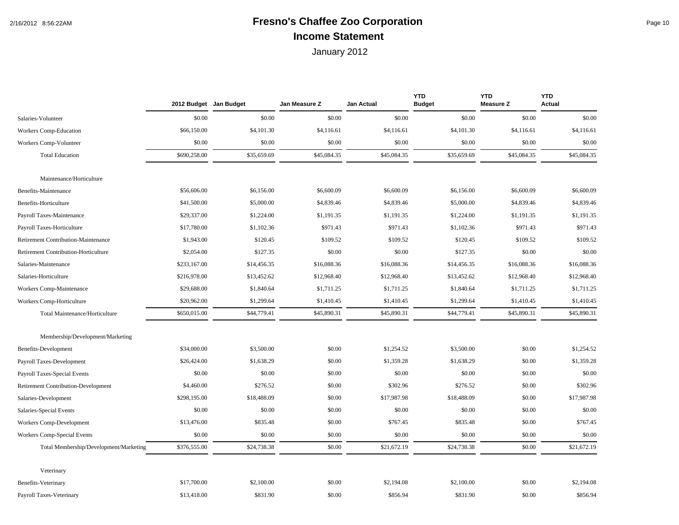# 2/16/2012 8:56:22AM **Fresno's Chaffee Zoo Corporation** Page 10 **Income Statement**

|                                            | 2012 Budget Jan Budget |             | Jan Measure Z | Jan Actual  | <b>YTD</b><br><b>Budget</b> | <b>YTD</b><br><b>Measure Z</b> | <b>YTD</b><br><b>Actual</b> |
|--------------------------------------------|------------------------|-------------|---------------|-------------|-----------------------------|--------------------------------|-----------------------------|
| Salaries-Volunteer                         | \$0.00                 | \$0.00      | \$0.00        | \$0.00      | \$0.00                      | \$0.00                         | \$0.00                      |
| Workers Comp-Education                     | \$66,150.00            | \$4,101.30  | \$4,116.61    | \$4,116.61  | \$4,101.30                  | \$4,116.61                     | \$4,116.61                  |
| Workers Comp-Volunteer                     | \$0.00                 | \$0.00      | \$0.00        | \$0.00      | \$0.00                      | \$0.00                         | \$0.00                      |
| <b>Total Education</b>                     | \$690,258.00           | \$35,659.69 | \$45,084.35   | \$45,084.35 | \$35,659.69                 | \$45,084.35                    | \$45,084.35                 |
| Maintenance/Horticulture                   |                        |             |               |             |                             |                                |                             |
| Benefits-Maintenance                       | \$56,606.00            | \$6,156.00  | \$6,600.09    | \$6,600.09  | \$6,156.00                  | \$6,600.09                     | \$6,600.09                  |
| Benefits-Horticulture                      | \$41,500.00            | \$5,000.00  | \$4,839.46    | \$4,839.46  | \$5,000.00                  | \$4,839.46                     | \$4,839.46                  |
| Payroll Taxes-Maintenance                  | \$29,337.00            | \$1,224.00  | \$1,191.35    | \$1,191.35  | \$1,224.00                  | \$1,191.35                     | \$1,191.35                  |
| Payroll Taxes-Horticulture                 | \$17,780.00            | \$1,102.36  | \$971.43      | \$971.43    | \$1,102.36                  | \$971.43                       | \$971.43                    |
| Retirement Contribution-Maintenance        | \$1,943.00             | \$120.45    | \$109.52      | \$109.52    | \$120.45                    | \$109.52                       | \$109.52                    |
| Retirement Contribution-Horticulture       | \$2,054.00             | \$127.35    | \$0.00        | \$0.00      | \$127.35                    | \$0.00                         | \$0.00                      |
| Salaries-Maintenance                       | \$233,167.00           | \$14,456.35 | \$16,088.36   | \$16,088.36 | \$14,456.35                 | \$16,088.36                    | \$16,088.36                 |
| Salaries-Horticulture                      | \$216,978.00           | \$13,452.62 | \$12,968.40   | \$12,968.40 | \$13,452.62                 | \$12,968.40                    | \$12,968.40                 |
| Workers Comp-Maintenance                   | \$29,688.00            | \$1,840.64  | \$1,711.25    | \$1,711.25  | \$1,840.64                  | \$1,711.25                     | \$1,711.25                  |
| Workers Comp-Horticulture                  | \$20,962.00            | \$1,299.64  | \$1,410.45    | \$1,410.45  | \$1,299.64                  | \$1,410.45                     | \$1,410.45                  |
| Total Maintenance/Horticulture             | \$650,015.00           | \$44,779.41 | \$45,890.31   | \$45,890.31 | \$44,779.41                 | \$45,890.31                    | \$45,890.31                 |
| Membership/Development/Marketing           |                        |             |               |             |                             |                                |                             |
| Benefits-Development                       | \$34,000.00            | \$3,500.00  | \$0.00        | \$1,254.52  | \$3,500.00                  | \$0.00                         | \$1,254.52                  |
| Payroll Taxes-Development                  | \$26,424.00            | \$1,638.29  | \$0.00        | \$1,359.28  | \$1,638.29                  | \$0.00                         | \$1,359.28                  |
| Payroll Taxes-Special Events               | \$0.00                 | \$0.00      | \$0.00        | \$0.00      | \$0.00                      | \$0.00                         | \$0.00                      |
| <b>Retirement Contribution-Development</b> | \$4,460.00             | \$276.52    | \$0.00        | \$302.96    | \$276.52                    | \$0.00                         | \$302.96                    |
| Salaries-Development                       | \$298,195.00           | \$18,488.09 | \$0.00        | \$17,987.98 | \$18,488.09                 | \$0.00                         | \$17,987.98                 |
| Salaries-Special Events                    | \$0.00                 | \$0.00      | \$0.00        | \$0.00      | \$0.00                      | \$0.00                         | \$0.00                      |
| Workers Comp-Development                   | \$13,476.00            | \$835.48    | \$0.00        | \$767.45    | \$835.48                    | \$0.00                         | \$767.45                    |
| Workers Comp-Special Events                | \$0.00                 | \$0.00      | \$0.00        | \$0.00      | \$0.00                      | \$0.00                         | \$0.00                      |
| Total Membership/Development/Marketing     | \$376,555.00           | \$24,738.38 | \$0.00        | \$21,672.19 | \$24,738.38                 | \$0.00                         | \$21,672.19                 |
| Veterinary                                 |                        |             |               |             |                             |                                |                             |
| <b>Benefits-Veterinary</b>                 | \$17,700.00            | \$2,100.00  | \$0.00        | \$2,194.08  | \$2,100.00                  | \$0.00                         | \$2,194.08                  |
| Payroll Taxes-Veterinary                   | \$13,418.00            | \$831.90    | \$0.00        | \$856.94    | \$831.90                    | \$0.00                         | \$856.94                    |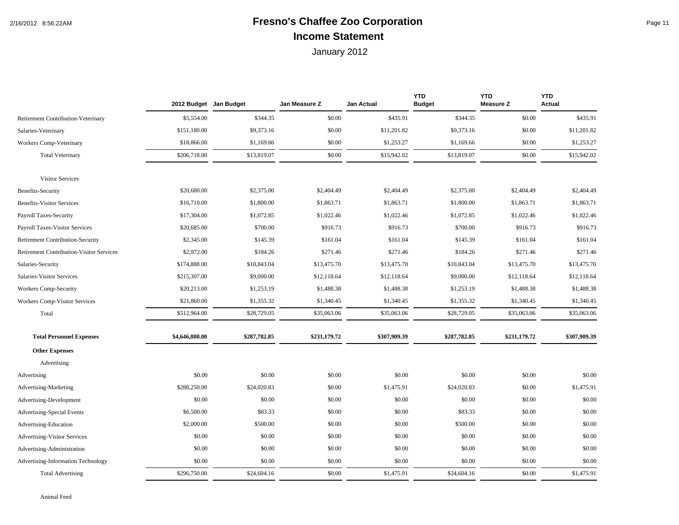## 2/16/2012 8:56:22AM **Fresno's Chaffee Zoo Corporation** Page 11 **Income Statement**

|                                                 |                | 2012 Budget Jan Budget | Jan Measure Z | Jan Actual   | <b>YTD</b><br><b>Budget</b> | <b>YTD</b><br><b>Measure Z</b> | <b>YTD</b><br><b>Actual</b> |
|-------------------------------------------------|----------------|------------------------|---------------|--------------|-----------------------------|--------------------------------|-----------------------------|
| <b>Retirement Contribution-Veterinary</b>       | \$5,554.00     | \$344.35               | \$0.00        | \$435.91     | \$344.35                    | \$0.00                         | \$435.91                    |
| Salaries-Veterinary                             | \$151,180.00   | \$9,373.16             | \$0.00        | \$11,201.82  | \$9,373.16                  | \$0.00                         | \$11,201.82                 |
| Workers Comp-Veterinary                         | \$18,866.00    | \$1,169.66             | \$0.00        | \$1,253.27   | \$1,169.66                  | \$0.00                         | \$1,253.27                  |
| <b>Total Veterinary</b>                         | \$206,718.00   | \$13,819.07            | \$0.00        | \$15,942.02  | \$13,819.07                 | \$0.00                         | \$15,942.02                 |
| <b>Visitor Services</b>                         |                |                        |               |              |                             |                                |                             |
| <b>Benefits-Security</b>                        | \$20,680.00    | \$2,375.00             | \$2,404.49    | \$2,404.49   | \$2,375.00                  | \$2,404.49                     | \$2,404.49                  |
| <b>Benefits-Visitor Services</b>                | \$16,710.00    | \$1,800.00             | \$1,863.71    | \$1,863.71   | \$1,800.00                  | \$1,863.71                     | \$1,863.71                  |
| Payroll Taxes-Security                          | \$17,304.00    | \$1,072.85             | \$1,022.46    | \$1,022.46   | \$1,072.85                  | \$1,022.46                     | \$1,022.46                  |
| <b>Payroll Taxes-Visitor Services</b>           | \$20,685.00    | \$700.00               | \$916.73      | \$916.73     | \$700.00                    | \$916.73                       | \$916.73                    |
| <b>Retirement Contribution-Security</b>         | \$2,345.00     | \$145.39               | \$161.04      | \$161.04     | \$145.39                    | \$161.04                       | \$161.04                    |
| <b>Retirement Contribution-Visitor Services</b> | \$2,972.00     | \$184.26               | \$271.46      | \$271.46     | \$184.26                    | \$271.46                       | \$271.46                    |
| Salaries-Security                               | \$174,888.00   | \$10,843.04            | \$13,475.70   | \$13,475.70  | \$10,843.04                 | \$13,475.70                    | \$13,475.70                 |
| Salaries-Visitor Services                       | \$215,307.00   | \$9,000.00             | \$12,118.64   | \$12,118.64  | \$9,000.00                  | \$12,118.64                    | \$12,118.64                 |
| <b>Workers Comp-Security</b>                    | \$20,213.00    | \$1,253.19             | \$1,488.38    | \$1,488.38   | \$1,253.19                  | \$1,488.38                     | \$1,488.38                  |
| <b>Workers Comp-Visitor Services</b>            | \$21,860.00    | \$1,355.32             | \$1,340.45    | \$1,340.45   | \$1,355.32                  | \$1,340.45                     | \$1,340.45                  |
| Total                                           | \$512,964.00   | \$28,729.05            | \$35,063.06   | \$35,063.06  | \$28,729.05                 | \$35,063.06                    | \$35,063.06                 |
| <b>Total Personnel Expenses</b>                 | \$4,646,800.00 | \$287,782.85           | \$231,179.72  | \$307,909.39 | \$287,782.85                | \$231,179.72                   | \$307,909.39                |
| <b>Other Expenses</b>                           |                |                        |               |              |                             |                                |                             |
| Advertising                                     |                |                        |               |              |                             |                                |                             |
| Advertising                                     | \$0.00         | \$0.00                 | \$0.00        | \$0.00       | \$0.00                      | \$0.00                         | \$0.00                      |
| Advertising-Marketing                           | \$288,250.00   | \$24,020.83            | \$0.00        | \$1,475.91   | \$24,020.83                 | \$0.00                         | \$1,475.91                  |
| Advertising-Development                         | \$0.00         | \$0.00                 | \$0.00        | \$0.00       | \$0.00                      | \$0.00                         | \$0.00                      |
| <b>Advertising-Special Events</b>               | \$6,500.00     | \$83.33                | \$0.00        | \$0.00       | \$83.33                     | \$0.00                         | \$0.00                      |
| Advertising-Education                           | \$2,000.00     | \$500.00               | \$0.00        | \$0.00       | \$500.00                    | \$0.00                         | \$0.00                      |
| <b>Advertising-Visitor Services</b>             | \$0.00         | \$0.00                 | \$0.00        | \$0.00       | \$0.00                      | \$0.00                         | \$0.00                      |
| Advertising-Administration                      | \$0.00         | \$0.00                 | \$0.00        | \$0.00       | \$0.00                      | \$0.00                         | \$0.00                      |
| Advertising-Information Technology              | \$0.00         | \$0.00                 | \$0.00        | \$0.00       | \$0.00                      | \$0.00                         | \$0.00                      |
| <b>Total Advertising</b>                        | \$296,750.00   | \$24,604.16            | \$0.00        | \$1,475.91   | \$24,604.16                 | \$0.00                         | \$1,475.91                  |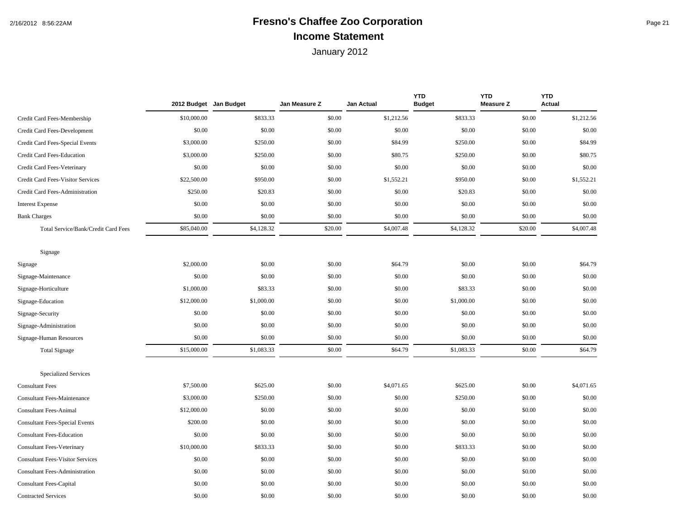## 2/16/2012 8:56:22AM **Fresno's Chaffee Zoo Corporation** Page 21 **Income Statement**

|                                         | 2012 Budget Jan Budget |            | Jan Measure Z | Jan Actual | <b>YTD</b><br><b>Budget</b> | <b>YTD</b><br><b>Measure Z</b> | <b>YTD</b><br><b>Actual</b> |
|-----------------------------------------|------------------------|------------|---------------|------------|-----------------------------|--------------------------------|-----------------------------|
| Credit Card Fees-Membership             | \$10,000.00            | \$833.33   | \$0.00        | \$1,212.56 | \$833.33                    | \$0.00                         | \$1,212.56                  |
| Credit Card Fees-Development            | \$0.00                 | \$0.00     | \$0.00        | \$0.00     | \$0.00                      | \$0.00                         | \$0.00                      |
| Credit Card Fees-Special Events         | \$3,000.00             | \$250.00   | \$0.00        | \$84.99    | \$250.00                    | \$0.00                         | \$84.99                     |
| Credit Card Fees-Education              | \$3,000.00             | \$250.00   | \$0.00        | \$80.75    | \$250.00                    | \$0.00                         | \$80.75                     |
| Credit Card Fees-Veterinary             | \$0.00                 | \$0.00     | \$0.00        | \$0.00     | \$0.00                      | \$0.00                         | \$0.00                      |
| Credit Card Fees-Visitor Services       | \$22,500.00            | \$950.00   | \$0.00        | \$1,552.21 | \$950.00                    | \$0.00                         | \$1,552.21                  |
| Credit Card Fees-Administration         | \$250.00               | \$20.83    | \$0.00        | \$0.00     | \$20.83                     | \$0.00                         | \$0.00                      |
| <b>Interest Expense</b>                 | \$0.00                 | \$0.00     | \$0.00        | \$0.00     | \$0.00                      | \$0.00                         | \$0.00                      |
| <b>Bank Charges</b>                     | \$0.00                 | \$0.00     | \$0.00        | \$0.00     | \$0.00                      | \$0.00                         | \$0.00                      |
| Total Service/Bank/Credit Card Fees     | \$85,040.00            | \$4,128.32 | \$20.00       | \$4,007.48 | \$4,128.32                  | \$20.00                        | \$4,007.48                  |
| Signage                                 |                        |            |               |            |                             |                                |                             |
| Signage                                 | \$2,000.00             | \$0.00     | \$0.00        | \$64.79    | \$0.00                      | \$0.00                         | \$64.79                     |
| Signage-Maintenance                     | \$0.00                 | \$0.00     | \$0.00        | \$0.00     | \$0.00                      | \$0.00                         | \$0.00                      |
| Signage-Horticulture                    | \$1,000.00             | \$83.33    | \$0.00        | \$0.00     | \$83.33                     | \$0.00                         | \$0.00                      |
| Signage-Education                       | \$12,000.00            | \$1,000.00 | \$0.00        | \$0.00     | \$1,000.00                  | \$0.00                         | \$0.00                      |
| Signage-Security                        | \$0.00                 | \$0.00     | \$0.00        | \$0.00     | \$0.00                      | \$0.00                         | \$0.00                      |
| Signage-Administration                  | \$0.00                 | \$0.00     | \$0.00        | \$0.00     | \$0.00                      | \$0.00                         | \$0.00                      |
| Signage-Human Resources                 | \$0.00                 | \$0.00     | \$0.00        | \$0.00     | \$0.00                      | \$0.00                         | \$0.00                      |
| <b>Total Signage</b>                    | \$15,000.00            | \$1,083.33 | \$0.00        | \$64.79    | \$1,083.33                  | \$0.00                         | \$64.79                     |
| <b>Specialized Services</b>             |                        |            |               |            |                             |                                |                             |
| <b>Consultant Fees</b>                  | \$7,500.00             | \$625.00   | \$0.00        | \$4,071.65 | \$625.00                    | \$0.00                         | \$4,071.65                  |
| <b>Consultant Fees-Maintenance</b>      | \$3,000.00             | \$250.00   | \$0.00        | \$0.00     | \$250.00                    | \$0.00                         | \$0.00                      |
| <b>Consultant Fees-Animal</b>           | \$12,000.00            | \$0.00     | \$0.00        | \$0.00     | \$0.00                      | \$0.00                         | \$0.00                      |
| <b>Consultant Fees-Special Events</b>   | \$200.00               | \$0.00     | \$0.00        | \$0.00     | \$0.00                      | \$0.00                         | \$0.00                      |
| <b>Consultant Fees-Education</b>        | \$0.00                 | \$0.00     | \$0.00        | \$0.00     | \$0.00                      | \$0.00                         | \$0.00                      |
| <b>Consultant Fees-Veterinary</b>       | \$10,000.00            | \$833.33   | \$0.00        | \$0.00     | \$833.33                    | \$0.00                         | \$0.00                      |
| <b>Consultant Fees-Visitor Services</b> | \$0.00                 | \$0.00     | \$0.00        | \$0.00     | \$0.00                      | \$0.00                         | \$0.00                      |
| <b>Consultant Fees-Administration</b>   | \$0.00                 | \$0.00     | \$0.00        | \$0.00     | \$0.00                      | \$0.00                         | \$0.00                      |
| <b>Consultant Fees-Capital</b>          | \$0.00                 | \$0.00     | \$0.00        | \$0.00     | \$0.00                      | \$0.00                         | \$0.00                      |
| <b>Contracted Services</b>              | \$0.00                 | \$0.00     | \$0.00        | \$0.00     | \$0.00                      | \$0.00                         | \$0.00                      |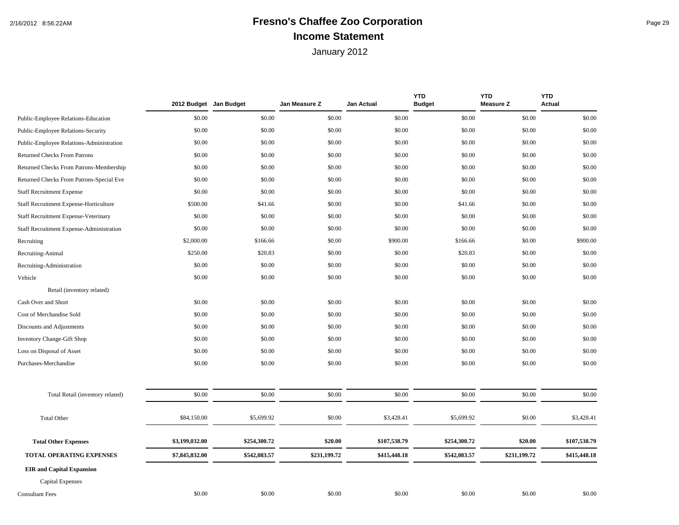## 2/16/2012 8:56:22AM **Fresno's Chaffee Zoo Corporation** Page 29 **Income Statement**

|                                          | 2012 Budget Jan Budget |              | Jan Measure Z | Jan Actual   | <b>YTD</b><br><b>Budget</b> | <b>YTD</b><br><b>Measure Z</b> | <b>YTD</b><br><b>Actual</b> |
|------------------------------------------|------------------------|--------------|---------------|--------------|-----------------------------|--------------------------------|-----------------------------|
| Public-Employee Relations-Education      | \$0.00                 | \$0.00       | \$0.00        | \$0.00       | \$0.00                      | \$0.00                         | \$0.00                      |
| Public-Employee Relations-Security       | \$0.00                 | \$0.00       | \$0.00        | \$0.00       | \$0.00                      | \$0.00                         | \$0.00                      |
| Public-Employee Relations-Administration | \$0.00                 | \$0.00       | \$0.00        | \$0.00       | \$0.00                      | \$0.00                         | \$0.00                      |
| <b>Returned Checks From Patrons</b>      | \$0.00                 | \$0.00       | \$0.00        | \$0.00       | \$0.00                      | \$0.00                         | \$0.00                      |
| Returned Checks From Patrons-Membership  | \$0.00                 | \$0.00       | \$0.00        | \$0.00       | \$0.00                      | \$0.00                         | \$0.00                      |
| Returned Checks From Patrons-Special Eve | \$0.00                 | \$0.00       | \$0.00        | \$0.00       | \$0.00                      | \$0.00                         | \$0.00                      |
| <b>Staff Recruitment Expense</b>         | \$0.00                 | \$0.00       | \$0.00        | \$0.00       | \$0.00                      | \$0.00                         | \$0.00                      |
| Staff Recruitment Expense-Horticulture   | \$500.00               | \$41.66      | \$0.00        | \$0.00       | \$41.66                     | \$0.00                         | \$0.00                      |
| Staff Recruitment Expense-Veterinary     | \$0.00                 | \$0.00       | \$0.00        | \$0.00       | \$0.00                      | \$0.00                         | \$0.00                      |
| Staff Recruitment Expense-Administration | \$0.00                 | \$0.00       | \$0.00        | \$0.00       | \$0.00                      | \$0.00                         | \$0.00                      |
| Recruiting                               | \$2,000.00             | \$166.66     | \$0.00        | \$900.00     | \$166.66                    | \$0.00                         | \$900.00                    |
| Recruiting-Animal                        | \$250.00               | \$20.83      | \$0.00        | \$0.00       | \$20.83                     | \$0.00                         | \$0.00                      |
| Recruiting-Administration                | \$0.00                 | \$0.00       | \$0.00        | \$0.00       | \$0.00                      | \$0.00                         | \$0.00                      |
| Vehicle                                  | \$0.00                 | \$0.00       | \$0.00        | \$0.00       | \$0.00                      | \$0.00                         | \$0.00                      |
| Retail (inventory related)               |                        |              |               |              |                             |                                |                             |
| Cash Over and Short                      | \$0.00                 | \$0.00       | \$0.00        | \$0.00       | \$0.00                      | \$0.00                         | \$0.00                      |
| Cost of Merchandise Sold                 | \$0.00                 | \$0.00       | \$0.00        | \$0.00       | \$0.00                      | \$0.00                         | \$0.00                      |
| Discounts and Adjustments                | \$0.00                 | \$0.00       | \$0.00        | \$0.00       | \$0.00                      | \$0.00                         | \$0.00                      |
| Inventory Change-Gift Shop               | \$0.00                 | \$0.00       | \$0.00        | \$0.00       | \$0.00                      | \$0.00                         | \$0.00                      |
| Loss on Disposal of Asset                | \$0.00                 | \$0.00       | \$0.00        | \$0.00       | \$0.00                      | \$0.00                         | \$0.00                      |
| Purchases-Merchandise                    | \$0.00                 | \$0.00       | \$0.00        | \$0.00       | \$0.00                      | \$0.00                         | \$0.00                      |
| Total Retail (inventory related)         | \$0.00                 | \$0.00       | \$0.00        | \$0.00       | \$0.00                      | \$0.00                         | \$0.00                      |
| <b>Total Other</b>                       | \$84,150.00            | \$5,699.92   | \$0.00        | \$3,428.41   | \$5,699.92                  | \$0.00                         | \$3,428.41                  |
| <b>Total Other Expenses</b>              | \$3,199,032.00         | \$254,300.72 | \$20.00       | \$107,538.79 | \$254,300.72                | \$20.00                        | \$107,538.79                |
| <b>TOTAL OPERATING EXPENSES</b>          | \$7,845,832.00         | \$542,083.57 | \$231,199.72  | \$415,448.18 | \$542,083.57                | \$231,199.72                   | \$415,448.18                |
| <b>EIR</b> and Capital Expansion         |                        |              |               |              |                             |                                |                             |
| <b>Capital Expenses</b>                  |                        |              |               |              |                             |                                |                             |
| <b>Consultant Fees</b>                   | \$0.00                 | \$0.00       | \$0.00        | \$0.00       | \$0.00                      | \$0.00                         | \$0.00                      |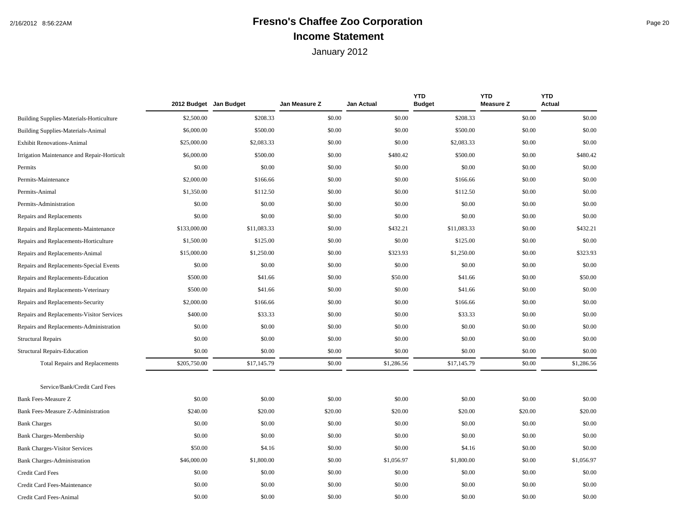## 2/16/2012 8:56:22AM **Fresno's Chaffee Zoo Corporation** Page 20 **Income Statement**

|                                             | 2012 Budget Jan Budget |             | Jan Measure Z | <b>Jan Actual</b> | <b>YTD</b><br><b>Budget</b> | <b>YTD</b><br><b>Measure Z</b> | <b>YTD</b><br><b>Actual</b> |
|---------------------------------------------|------------------------|-------------|---------------|-------------------|-----------------------------|--------------------------------|-----------------------------|
| Building Supplies-Materials-Horticulture    | \$2,500.00             | \$208.33    | \$0.00        | \$0.00            | \$208.33                    | \$0.00                         | \$0.00                      |
| <b>Building Supplies-Materials-Animal</b>   | \$6,000.00             | \$500.00    | \$0.00        | \$0.00            | \$500.00                    | \$0.00                         | \$0.00                      |
| <b>Exhibit Renovations-Animal</b>           | \$25,000.00            | \$2,083.33  | \$0.00        | \$0.00            | \$2,083.33                  | \$0.00                         | \$0.00                      |
| Irrigation Maintenance and Repair-Horticult | \$6,000.00             | \$500.00    | \$0.00        | \$480.42          | \$500.00                    | \$0.00                         | \$480.42                    |
| Permits                                     | \$0.00                 | \$0.00      | \$0.00        | \$0.00            | \$0.00                      | \$0.00                         | \$0.00                      |
| Permits-Maintenance                         | \$2,000.00             | \$166.66    | \$0.00        | \$0.00            | \$166.66                    | \$0.00                         | \$0.00                      |
| Permits-Animal                              | \$1,350.00             | \$112.50    | \$0.00        | \$0.00            | \$112.50                    | \$0.00                         | \$0.00                      |
| Permits-Administration                      | \$0.00                 | \$0.00      | \$0.00        | \$0.00            | \$0.00                      | \$0.00                         | \$0.00                      |
| Repairs and Replacements                    | \$0.00                 | \$0.00      | \$0.00        | \$0.00            | \$0.00                      | \$0.00                         | \$0.00                      |
| Repairs and Replacements-Maintenance        | \$133,000.00           | \$11,083.33 | \$0.00        | \$432.21          | \$11,083.33                 | \$0.00                         | \$432.21                    |
| Repairs and Replacements-Horticulture       | \$1,500.00             | \$125.00    | \$0.00        | \$0.00            | \$125.00                    | \$0.00                         | \$0.00                      |
| Repairs and Replacements-Animal             | \$15,000.00            | \$1,250.00  | \$0.00        | \$323.93          | \$1,250.00                  | \$0.00                         | \$323.93                    |
| Repairs and Replacements-Special Events     | \$0.00                 | \$0.00      | \$0.00        | \$0.00            | \$0.00                      | \$0.00                         | \$0.00                      |
| Repairs and Replacements-Education          | \$500.00               | \$41.66     | \$0.00        | \$50.00           | \$41.66                     | \$0.00                         | \$50.00                     |
| Repairs and Replacements-Veterinary         | \$500.00               | \$41.66     | \$0.00        | \$0.00            | \$41.66                     | \$0.00                         | \$0.00                      |
| Repairs and Replacements-Security           | \$2,000.00             | \$166.66    | \$0.00        | \$0.00            | \$166.66                    | \$0.00                         | \$0.00                      |
| Repairs and Replacements-Visitor Services   | \$400.00               | \$33.33     | \$0.00        | \$0.00            | \$33.33                     | \$0.00                         | \$0.00                      |
| Repairs and Replacements-Administration     | \$0.00                 | \$0.00      | \$0.00        | \$0.00            | \$0.00                      | \$0.00                         | \$0.00                      |
| <b>Structural Repairs</b>                   | \$0.00                 | \$0.00      | \$0.00        | \$0.00            | \$0.00                      | \$0.00                         | \$0.00                      |
| Structural Repairs-Education                | \$0.00                 | \$0.00      | \$0.00        | \$0.00            | \$0.00                      | \$0.00                         | \$0.00                      |
| <b>Total Repairs and Replacements</b>       | \$205,750.00           | \$17,145.79 | \$0.00        | \$1,286.56        | \$17,145.79                 | \$0.00                         | \$1,286.56                  |
| Service/Bank/Credit Card Fees               |                        |             |               |                   |                             |                                |                             |
| Bank Fees-Measure Z                         | \$0.00                 | \$0.00      | \$0.00        | \$0.00            | \$0.00                      | \$0.00                         | \$0.00                      |
| Bank Fees-Measure Z-Administration          | \$240.00               | \$20.00     | \$20.00       | \$20.00           | \$20.00                     | \$20.00                        | \$20.00                     |
| <b>Bank Charges</b>                         | \$0.00                 | \$0.00      | \$0.00        | \$0.00            | \$0.00                      | \$0.00                         | \$0.00                      |
| <b>Bank Charges-Membership</b>              | \$0.00                 | \$0.00      | \$0.00        | \$0.00            | \$0.00                      | \$0.00                         | \$0.00                      |
| <b>Bank Charges-Visitor Services</b>        | \$50.00                | \$4.16      | \$0.00        | \$0.00            | \$4.16                      | \$0.00                         | \$0.00                      |
| <b>Bank Charges-Administration</b>          | \$46,000.00            | \$1,800.00  | \$0.00        | \$1,056.97        | \$1,800.00                  | \$0.00                         | \$1,056.97                  |
| <b>Credit Card Fees</b>                     | \$0.00                 | \$0.00      | \$0.00        | \$0.00            | \$0.00                      | \$0.00                         | \$0.00                      |
| Credit Card Fees-Maintenance                | \$0.00                 | \$0.00      | \$0.00        | \$0.00            | \$0.00                      | \$0.00                         | \$0.00                      |
| Credit Card Fees-Animal                     | \$0.00                 | \$0.00      | \$0.00        | \$0.00            | \$0.00                      | \$0.00                         | \$0.00                      |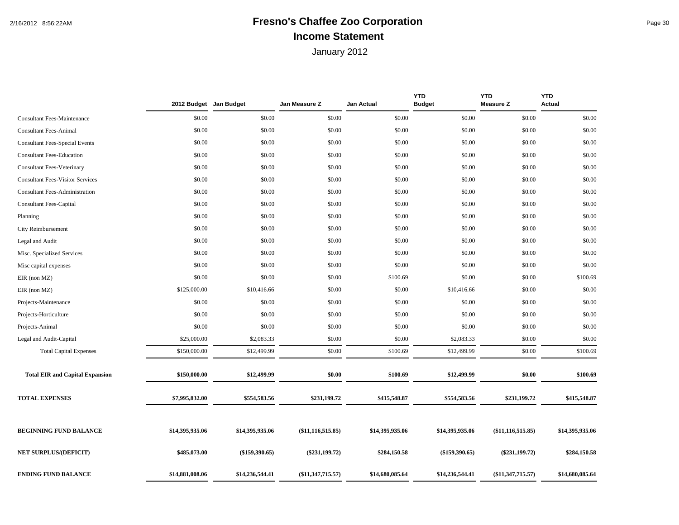## 2/16/2012 8:56:22AM **Fresno's Chaffee Zoo Corporation** Page 30 **Income Statement**

|                                         | 2012 Budget Jan Budget |                  | Jan Measure Z       | Jan Actual      | <b>YTD</b><br><b>Budget</b> | <b>YTD</b><br><b>Measure Z</b> | <b>YTD</b><br>Actual |
|-----------------------------------------|------------------------|------------------|---------------------|-----------------|-----------------------------|--------------------------------|----------------------|
| <b>Consultant Fees-Maintenance</b>      | \$0.00                 | \$0.00           | \$0.00              | \$0.00          | \$0.00                      | \$0.00                         | \$0.00               |
| <b>Consultant Fees-Animal</b>           | \$0.00                 | \$0.00           | \$0.00              | \$0.00          | \$0.00                      | \$0.00                         | \$0.00               |
| <b>Consultant Fees-Special Events</b>   | \$0.00                 | \$0.00           | \$0.00              | \$0.00          | \$0.00                      | \$0.00                         | \$0.00               |
| <b>Consultant Fees-Education</b>        | \$0.00                 | \$0.00           | \$0.00              | \$0.00          | \$0.00                      | \$0.00                         | \$0.00               |
| <b>Consultant Fees-Veterinary</b>       | \$0.00                 | \$0.00           | \$0.00              | \$0.00          | \$0.00                      | \$0.00                         | \$0.00               |
| <b>Consultant Fees-Visitor Services</b> | \$0.00                 | \$0.00           | \$0.00              | \$0.00          | \$0.00                      | \$0.00                         | \$0.00               |
| <b>Consultant Fees-Administration</b>   | \$0.00                 | \$0.00           | \$0.00              | \$0.00          | \$0.00                      | \$0.00                         | \$0.00               |
| <b>Consultant Fees-Capital</b>          | \$0.00                 | \$0.00           | \$0.00              | \$0.00          | \$0.00                      | \$0.00                         | \$0.00               |
| Planning                                | \$0.00                 | \$0.00           | \$0.00              | \$0.00          | \$0.00                      | \$0.00                         | \$0.00               |
| City Reimbursement                      | \$0.00                 | \$0.00           | \$0.00              | \$0.00          | \$0.00                      | \$0.00                         | \$0.00               |
| Legal and Audit                         | \$0.00                 | \$0.00           | \$0.00              | \$0.00          | \$0.00                      | \$0.00                         | \$0.00               |
| Misc. Specialized Services              | \$0.00                 | \$0.00           | \$0.00              | \$0.00          | \$0.00                      | \$0.00                         | \$0.00               |
| Misc capital expenses                   | \$0.00                 | \$0.00           | \$0.00              | \$0.00          | \$0.00                      | \$0.00                         | \$0.00               |
| $EIR$ (non $MZ$ )                       | \$0.00                 | \$0.00           | \$0.00              | \$100.69        | \$0.00                      | \$0.00                         | \$100.69             |
| $EIR$ (non $MZ$ )                       | \$125,000.00           | \$10,416.66      | \$0.00              | \$0.00          | \$10,416.66                 | \$0.00                         | \$0.00               |
| Projects-Maintenance                    | \$0.00                 | \$0.00           | \$0.00              | \$0.00          | \$0.00                      | \$0.00                         | \$0.00               |
| Projects-Horticulture                   | \$0.00                 | \$0.00           | \$0.00              | \$0.00          | \$0.00                      | \$0.00                         | \$0.00               |
| Projects-Animal                         | \$0.00                 | \$0.00           | \$0.00              | \$0.00          | \$0.00                      | \$0.00                         | \$0.00               |
| Legal and Audit-Capital                 | \$25,000.00            | \$2,083.33       | \$0.00              | \$0.00          | \$2,083.33                  | \$0.00                         | \$0.00               |
| <b>Total Capital Expenses</b>           | \$150,000.00           | \$12,499.99      | \$0.00              | \$100.69        | \$12,499.99                 | \$0.00                         | \$100.69             |
| <b>Total EIR and Capital Expansion</b>  | \$150,000.00           | \$12,499.99      | \$0.00              | \$100.69        | \$12,499.99                 | \$0.00                         | \$100.69             |
| <b>TOTAL EXPENSES</b>                   | \$7,995,832.00         | \$554,583.56     | \$231,199.72        | \$415,548.87    | \$554,583.56                | \$231,199.72                   | \$415,548.87         |
| <b>BEGINNING FUND BALANCE</b>           | \$14,395,935.06        | \$14,395,935.06  | $(\$11,116,515.85)$ | \$14,395,935.06 | \$14,395,935.06             | $(\$11,116,515.85)$            | \$14,395,935.06      |
| <b>NET SURPLUS/(DEFICIT)</b>            | \$485,073.00           | $(\$159,390.65)$ | $(\$231,199.72)$    | \$284,150.58    | $(\$159,390.65)$            | $(\$231,199.72)$               | \$284,150.58         |
| <b>ENDING FUND BALANCE</b>              | \$14,881,008.06        | \$14,236,544.41  | $(\$11,347,715.57)$ | \$14,680,085.64 | \$14,236,544.41             | (\$11,347,715.57)              | \$14,680,085.64      |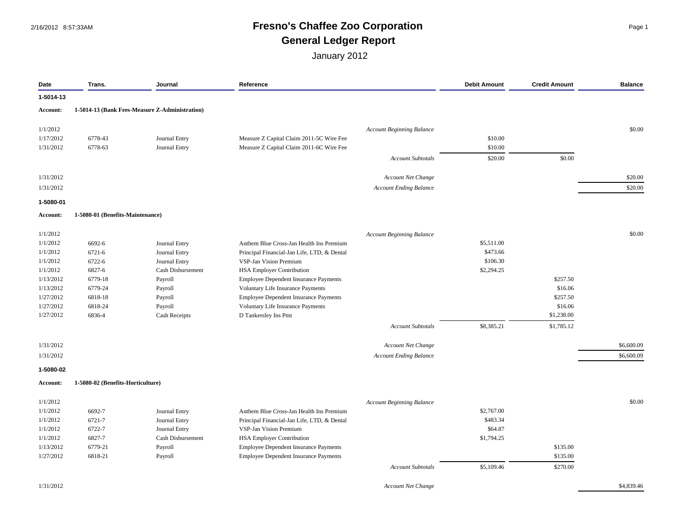#### 2/16/2012 8:57:33AM **Fresno's Chaffee Zoo Corporation** Page 1 **General Ledger Report**

| Date      | Trans.                            | Journal                                        | Reference                                    | <b>Debit Amount</b> | <b>Credit Amount</b> | <b>Balance</b> |
|-----------|-----------------------------------|------------------------------------------------|----------------------------------------------|---------------------|----------------------|----------------|
| 1-5014-13 |                                   |                                                |                                              |                     |                      |                |
| Account:  |                                   | 1-5014-13 (Bank Fees-Measure Z-Administration) |                                              |                     |                      |                |
| 1/1/2012  |                                   |                                                | <b>Account Beginning Balance</b>             |                     |                      | \$0.00         |
| 1/17/2012 | 6778-43                           | Journal Entry                                  | Measure Z Capital Claim 2011-5C Wire Fee     | \$10.00             |                      |                |
| 1/31/2012 | 6778-63                           | Journal Entry                                  | Measure Z Capital Claim 2011-6C Wire Fee     | \$10.00             |                      |                |
|           |                                   |                                                | Account Subtotals                            | \$20.00             | \$0.00               |                |
| 1/31/2012 |                                   |                                                | Account Net Change                           |                     |                      | \$20.00        |
| 1/31/2012 |                                   |                                                | <b>Account Ending Balance</b>                |                     |                      | \$20.00        |
| 1-5080-01 |                                   |                                                |                                              |                     |                      |                |
| Account:  | 1-5080-01 (Benefits-Maintenance)  |                                                |                                              |                     |                      |                |
| 1/1/2012  |                                   |                                                | <b>Account Beginning Balance</b>             |                     |                      | \$0.00         |
| 1/1/2012  | 6692-6                            | Journal Entry                                  | Anthem Blue Cross-Jan Health Ins Premium     | \$5,511.00          |                      |                |
| 1/1/2012  | 6721-6                            | Journal Entry                                  | Principal Financial-Jan Life, LTD, & Dental  | \$473.66            |                      |                |
| 1/1/2012  | 6722-6                            | Journal Entry                                  | VSP-Jan Vision Premium                       | \$106.30            |                      |                |
| 1/1/2012  | 6827-6                            | Cash Disbursement                              | <b>HSA Employer Contribution</b>             | \$2,294.25          |                      |                |
| 1/13/2012 | 6779-18                           | Payroll                                        | Employee Dependent Insurance Payments        |                     | \$257.50             |                |
| 1/13/2012 | 6779-24                           | Payroll                                        | Voluntary Life Insurance Payments            |                     | \$16.06              |                |
| 1/27/2012 | 6818-18                           | Payroll                                        | Employee Dependent Insurance Payments        |                     | \$257.50             |                |
| 1/27/2012 | 6818-24                           | Payroll                                        | Voluntary Life Insurance Payments            |                     | \$16.06              |                |
| 1/27/2012 | 6836-4                            | <b>Cash Receipts</b>                           | D Tankersley Ins Pmt                         |                     | \$1,238.00           |                |
|           |                                   |                                                | <b>Account Subtotals</b>                     | \$8,385.21          | \$1,785.12           |                |
| 1/31/2012 |                                   |                                                | Account Net Change                           |                     |                      | \$6,600.09     |
| 1/31/2012 |                                   |                                                | <b>Account Ending Balance</b>                |                     |                      | \$6,600.09     |
| 1-5080-02 |                                   |                                                |                                              |                     |                      |                |
| Account:  | 1-5080-02 (Benefits-Horticulture) |                                                |                                              |                     |                      |                |
| 1/1/2012  |                                   |                                                | <b>Account Beginning Balance</b>             |                     |                      | \$0.00         |
| 1/1/2012  | 6692-7                            | Journal Entry                                  | Anthem Blue Cross-Jan Health Ins Premium     | \$2,767.00          |                      |                |
| 1/1/2012  | 6721-7                            | Journal Entry                                  | Principal Financial-Jan Life, LTD, & Dental  | \$483.34            |                      |                |
| 1/1/2012  | 6722-7                            | Journal Entry                                  | VSP-Jan Vision Premium                       | \$64.87             |                      |                |
| 1/1/2012  | 6827-7                            | Cash Disbursement                              | <b>HSA Employer Contribution</b>             | \$1,794.25          |                      |                |
| 1/13/2012 | 6779-21                           | Payroll                                        | <b>Employee Dependent Insurance Payments</b> |                     | \$135.00             |                |
| 1/27/2012 | 6818-21                           | Payroll                                        | Employee Dependent Insurance Payments        |                     | \$135.00             |                |
|           |                                   |                                                | <b>Account Subtotals</b>                     | \$5,109.46          | \$270.00             |                |
| 1/31/2012 |                                   |                                                | <b>Account Net Change</b>                    |                     |                      | \$4,839.46     |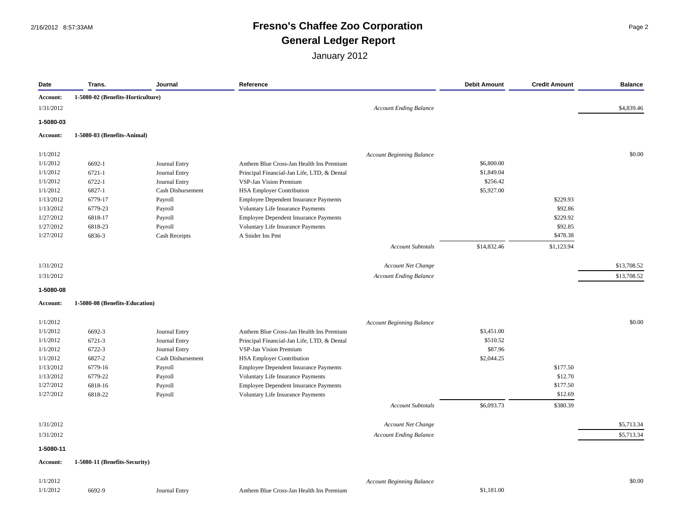#### 2/16/2012 8:57:33AM **Fresno's Chaffee Zoo Corporation** Page 2 **General Ledger Report**

| Date            | Trans.                            | Journal           | Reference                                    |                                  | <b>Debit Amount</b> | <b>Credit Amount</b> | <b>Balance</b> |
|-----------------|-----------------------------------|-------------------|----------------------------------------------|----------------------------------|---------------------|----------------------|----------------|
| Account:        | 1-5080-02 (Benefits-Horticulture) |                   |                                              |                                  |                     |                      |                |
| 1/31/2012       |                                   |                   |                                              | <b>Account Ending Balance</b>    |                     |                      | \$4,839.46     |
| 1-5080-03       |                                   |                   |                                              |                                  |                     |                      |                |
| Account:        | 1-5080-03 (Benefits-Animal)       |                   |                                              |                                  |                     |                      |                |
| 1/1/2012        |                                   |                   |                                              | <b>Account Beginning Balance</b> |                     |                      | \$0.00         |
| 1/1/2012        | 6692-1                            | Journal Entry     | Anthem Blue Cross-Jan Health Ins Premium     |                                  | \$6,800.00          |                      |                |
| 1/1/2012        | $6721 - 1$                        | Journal Entry     | Principal Financial-Jan Life, LTD, & Dental  |                                  | \$1,849.04          |                      |                |
| 1/1/2012        | 6722-1                            | Journal Entry     | VSP-Jan Vision Premium                       |                                  | \$256.42            |                      |                |
| 1/1/2012        | 6827-1                            | Cash Disbursement | <b>HSA Employer Contribution</b>             |                                  | \$5,927.00          |                      |                |
| 1/13/2012       | 6779-17                           | Payroll           | Employee Dependent Insurance Payments        |                                  |                     | \$229.93             |                |
| 1/13/2012       | 6779-23                           | Payroll           | Voluntary Life Insurance Payments            |                                  |                     | \$92.86              |                |
| 1/27/2012       | 6818-17                           | Payroll           | <b>Employee Dependent Insurance Payments</b> |                                  |                     | \$229.92             |                |
| 1/27/2012       | 6818-23                           | Payroll           | Voluntary Life Insurance Payments            |                                  |                     | \$92.85              |                |
| 1/27/2012       | 6836-3                            | Cash Receipts     | A Snider Ins Pmt                             |                                  |                     | \$478.38             |                |
|                 |                                   |                   |                                              | <b>Account Subtotals</b>         | \$14,832.46         | \$1,123.94           |                |
| 1/31/2012       |                                   |                   |                                              | Account Net Change               |                     |                      | \$13,708.52    |
|                 |                                   |                   |                                              |                                  |                     |                      | \$13,708.52    |
| 1/31/2012       |                                   |                   |                                              | <b>Account Ending Balance</b>    |                     |                      |                |
| 1-5080-08       | 1-5080-08 (Benefits-Education)    |                   |                                              |                                  |                     |                      |                |
| <b>Account:</b> |                                   |                   |                                              |                                  |                     |                      |                |
| 1/1/2012        |                                   |                   |                                              | <b>Account Beginning Balance</b> |                     |                      | \$0.00         |
| 1/1/2012        | 6692-3                            | Journal Entry     | Anthem Blue Cross-Jan Health Ins Premium     |                                  | \$3,451.00          |                      |                |
| 1/1/2012        | 6721-3                            | Journal Entry     | Principal Financial-Jan Life, LTD, & Dental  |                                  | \$510.52            |                      |                |
| 1/1/2012        | 6722-3                            | Journal Entry     | VSP-Jan Vision Premium                       |                                  | \$87.96             |                      |                |
| 1/1/2012        | 6827-2                            | Cash Disbursement | <b>HSA Employer Contribution</b>             |                                  | \$2,044.25          |                      |                |
| 1/13/2012       | 6779-16                           | Payroll           | Employee Dependent Insurance Payments        |                                  |                     | \$177.50             |                |
| 1/13/2012       | 6779-22                           | Payroll           | Voluntary Life Insurance Payments            |                                  |                     | \$12.70              |                |
| 1/27/2012       | 6818-16                           | Payroll           | <b>Employee Dependent Insurance Payments</b> |                                  |                     | \$177.50             |                |
| 1/27/2012       | 6818-22                           | Payroll           | Voluntary Life Insurance Payments            |                                  |                     | \$12.69              |                |
|                 |                                   |                   |                                              | <b>Account Subtotals</b>         | \$6,093.73          | \$380.39             |                |
| 1/31/2012       |                                   |                   |                                              | Account Net Change               |                     |                      | \$5,713.34     |
| 1/31/2012       |                                   |                   |                                              | <b>Account Ending Balance</b>    |                     |                      | \$5,713.34     |
| 1-5080-11       |                                   |                   |                                              |                                  |                     |                      |                |
| Account:        | 1-5080-11 (Benefits-Security)     |                   |                                              |                                  |                     |                      |                |
| 1/1/2012        |                                   |                   |                                              | <b>Account Beginning Balance</b> |                     |                      | \$0.00         |
| 1/1/2012        | 6692-9                            | Journal Entry     | Anthem Blue Cross-Jan Health Ins Premium     |                                  | \$1,181.00          |                      |                |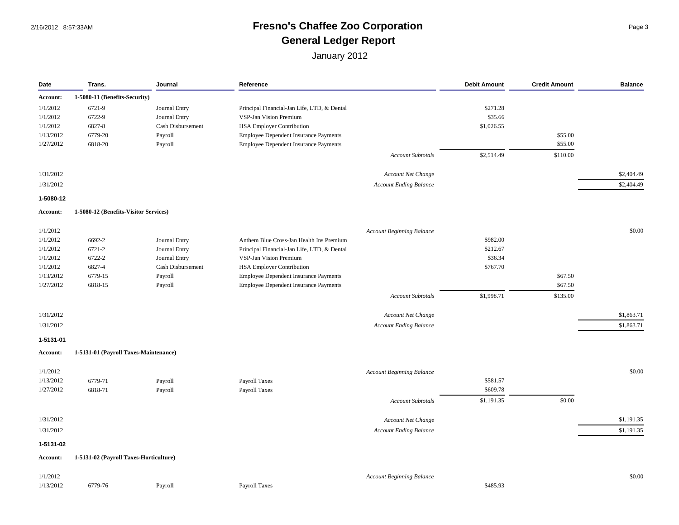### 2/16/2012 8:57:33AM **Fresno's Chaffee Zoo Corporation** Page 3 **General Ledger Report**

| Date      | Trans.                                 | Journal           | Reference                                    |                                  | <b>Debit Amount</b> | <b>Credit Amount</b> | <b>Balance</b> |
|-----------|----------------------------------------|-------------------|----------------------------------------------|----------------------------------|---------------------|----------------------|----------------|
| Account:  | 1-5080-11 (Benefits-Security)          |                   |                                              |                                  |                     |                      |                |
| 1/1/2012  | 6721-9                                 | Journal Entry     | Principal Financial-Jan Life, LTD, & Dental  |                                  | \$271.28            |                      |                |
| 1/1/2012  | 6722-9                                 | Journal Entry     | VSP-Jan Vision Premium                       |                                  | \$35.66             |                      |                |
| 1/1/2012  | 6827-8                                 | Cash Disbursement | <b>HSA Employer Contribution</b>             |                                  | \$1,026.55          |                      |                |
| 1/13/2012 | 6779-20                                | Payroll           | Employee Dependent Insurance Payments        |                                  |                     | \$55.00              |                |
| 1/27/2012 | 6818-20                                | Payroll           | Employee Dependent Insurance Payments        |                                  |                     | \$55.00              |                |
|           |                                        |                   |                                              |                                  |                     |                      |                |
|           |                                        |                   |                                              | <b>Account Subtotals</b>         | \$2,514.49          | \$110.00             |                |
| 1/31/2012 |                                        |                   |                                              | <b>Account Net Change</b>        |                     |                      | \$2,404.49     |
| 1/31/2012 |                                        |                   |                                              | <b>Account Ending Balance</b>    |                     |                      | \$2,404.49     |
| 1-5080-12 |                                        |                   |                                              |                                  |                     |                      |                |
| Account:  | 1-5080-12 (Benefits-Visitor Services)  |                   |                                              |                                  |                     |                      |                |
| 1/1/2012  |                                        |                   |                                              | <b>Account Beginning Balance</b> |                     |                      | \$0.00         |
| 1/1/2012  | 6692-2                                 | Journal Entry     | Anthem Blue Cross-Jan Health Ins Premium     |                                  | \$982.00            |                      |                |
| 1/1/2012  | 6721-2                                 | Journal Entry     | Principal Financial-Jan Life, LTD, & Dental  |                                  | \$212.67            |                      |                |
| 1/1/2012  | 6722-2                                 | Journal Entry     | VSP-Jan Vision Premium                       |                                  | \$36.34             |                      |                |
| 1/1/2012  | 6827-4                                 | Cash Disbursement | <b>HSA Employer Contribution</b>             |                                  | \$767.70            |                      |                |
| 1/13/2012 | 6779-15                                | Payroll           | Employee Dependent Insurance Payments        |                                  |                     | \$67.50              |                |
| 1/27/2012 | 6818-15                                | Payroll           | <b>Employee Dependent Insurance Payments</b> |                                  |                     | \$67.50              |                |
|           |                                        |                   |                                              |                                  |                     |                      |                |
|           |                                        |                   |                                              | Account Subtotals                | \$1,998.71          | \$135.00             |                |
| 1/31/2012 |                                        |                   |                                              | <b>Account Net Change</b>        |                     |                      | \$1,863.71     |
| 1/31/2012 |                                        |                   |                                              | <b>Account Ending Balance</b>    |                     |                      | \$1,863.71     |
| 1-5131-01 |                                        |                   |                                              |                                  |                     |                      |                |
| Account:  | 1-5131-01 (Payroll Taxes-Maintenance)  |                   |                                              |                                  |                     |                      |                |
| 1/1/2012  |                                        |                   |                                              | <b>Account Beginning Balance</b> |                     |                      | \$0.00         |
| 1/13/2012 | 6779-71                                | Payroll           | Payroll Taxes                                |                                  | \$581.57            |                      |                |
| 1/27/2012 | 6818-71                                | Payroll           | Payroll Taxes                                |                                  | \$609.78            |                      |                |
|           |                                        |                   |                                              | <b>Account Subtotals</b>         | \$1,191.35          | \$0.00               |                |
| 1/31/2012 |                                        |                   |                                              | Account Net Change               |                     |                      | \$1,191.35     |
| 1/31/2012 |                                        |                   |                                              | Account Ending Balance           |                     |                      | \$1,191.35     |
| 1-5131-02 |                                        |                   |                                              |                                  |                     |                      |                |
| Account:  | 1-5131-02 (Payroll Taxes-Horticulture) |                   |                                              |                                  |                     |                      |                |
|           |                                        |                   |                                              |                                  |                     |                      |                |
| 1/1/2012  |                                        |                   |                                              | <b>Account Beginning Balance</b> |                     |                      | \$0.00         |
| 1/13/2012 | 6779-76                                | Payroll           | <b>Payroll Taxes</b>                         |                                  | \$485.93            |                      |                |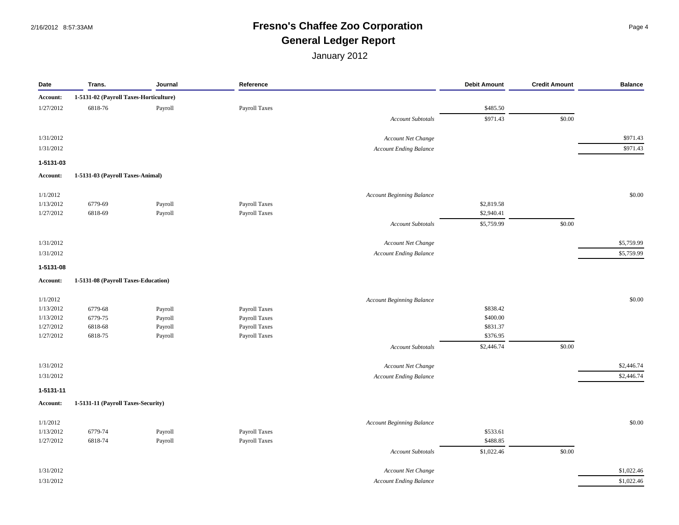## 2/16/2012 8:57:33AM **Fresno's Chaffee Zoo Corporation** Page 4 **General Ledger Report**

| Date      | Trans.                                 | Journal | Reference     |                                  | <b>Debit Amount</b> | <b>Credit Amount</b> | <b>Balance</b> |
|-----------|----------------------------------------|---------|---------------|----------------------------------|---------------------|----------------------|----------------|
| Account:  | 1-5131-02 (Payroll Taxes-Horticulture) |         |               |                                  |                     |                      |                |
| 1/27/2012 | 6818-76                                | Payroll | Payroll Taxes |                                  | \$485.50            |                      |                |
|           |                                        |         |               | <b>Account Subtotals</b>         | \$971.43            | \$0.00               |                |
| 1/31/2012 |                                        |         |               | Account Net Change               |                     |                      | \$971.43       |
| 1/31/2012 |                                        |         |               | <b>Account Ending Balance</b>    |                     |                      | \$971.43       |
| 1-5131-03 |                                        |         |               |                                  |                     |                      |                |
| Account:  | 1-5131-03 (Payroll Taxes-Animal)       |         |               |                                  |                     |                      |                |
|           |                                        |         |               |                                  |                     |                      |                |
| 1/1/2012  |                                        |         |               | <b>Account Beginning Balance</b> |                     |                      | \$0.00         |
| 1/13/2012 | 6779-69                                | Payroll | Payroll Taxes |                                  | \$2,819.58          |                      |                |
| 1/27/2012 | 6818-69                                | Payroll | Payroll Taxes |                                  | \$2,940.41          |                      |                |
|           |                                        |         |               | <b>Account Subtotals</b>         | \$5,759.99          | \$0.00               |                |
| 1/31/2012 |                                        |         |               | Account Net Change               |                     |                      | \$5,759.99     |
| 1/31/2012 |                                        |         |               | <b>Account Ending Balance</b>    |                     |                      | \$5,759.99     |
| 1-5131-08 |                                        |         |               |                                  |                     |                      |                |
| Account:  | 1-5131-08 (Payroll Taxes-Education)    |         |               |                                  |                     |                      |                |
| 1/1/2012  |                                        |         |               | <b>Account Beginning Balance</b> |                     |                      | \$0.00         |
| 1/13/2012 | 6779-68                                | Payroll | Payroll Taxes |                                  | \$838.42            |                      |                |
| 1/13/2012 | 6779-75                                | Payroll | Payroll Taxes |                                  | \$400.00            |                      |                |
| 1/27/2012 | 6818-68                                | Payroll | Payroll Taxes |                                  | \$831.37            |                      |                |
| 1/27/2012 | 6818-75                                | Payroll | Payroll Taxes |                                  | \$376.95            |                      |                |
|           |                                        |         |               | <b>Account Subtotals</b>         | \$2,446.74          | \$0.00               |                |
| 1/31/2012 |                                        |         |               | Account Net Change               |                     |                      | \$2,446.74     |
| 1/31/2012 |                                        |         |               | <b>Account Ending Balance</b>    |                     |                      | \$2,446.74     |
| 1-5131-11 |                                        |         |               |                                  |                     |                      |                |
| Account:  | 1-5131-11 (Payroll Taxes-Security)     |         |               |                                  |                     |                      |                |
| 1/1/2012  |                                        |         |               | <b>Account Beginning Balance</b> |                     |                      | \$0.00         |
| 1/13/2012 | 6779-74                                | Payroll | Payroll Taxes |                                  | \$533.61            |                      |                |
| 1/27/2012 | 6818-74                                | Payroll | Payroll Taxes |                                  | \$488.85            |                      |                |
|           |                                        |         |               | <b>Account Subtotals</b>         | \$1,022.46          | \$0.00               |                |
| 1/31/2012 |                                        |         |               | Account Net Change               |                     |                      | \$1,022.46     |
| 1/31/2012 |                                        |         |               | <b>Account Ending Balance</b>    |                     |                      | \$1,022.46     |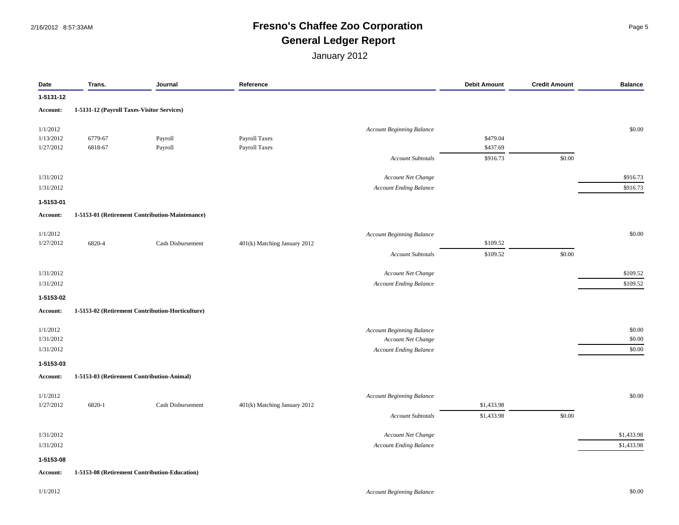#### 2/16/2012 8:57:33AM **Fresno's Chaffee Zoo Corporation** Page 5 **General Ledger Report**

| Date      | Trans.                                     | Journal                                          | Reference                    |                                  | <b>Debit Amount</b> | <b>Credit Amount</b> | <b>Balance</b> |
|-----------|--------------------------------------------|--------------------------------------------------|------------------------------|----------------------------------|---------------------|----------------------|----------------|
| 1-5131-12 |                                            |                                                  |                              |                                  |                     |                      |                |
| Account:  | 1-5131-12 (Payroll Taxes-Visitor Services) |                                                  |                              |                                  |                     |                      |                |
| 1/1/2012  |                                            |                                                  |                              | <b>Account Beginning Balance</b> |                     |                      | \$0.00         |
| 1/13/2012 | 6779-67                                    | Payroll                                          | Payroll Taxes                |                                  | \$479.04            |                      |                |
| 1/27/2012 | 6818-67                                    | Payroll                                          | Payroll Taxes                |                                  | \$437.69            |                      |                |
|           |                                            |                                                  |                              | <b>Account Subtotals</b>         | \$916.73            | \$0.00               |                |
| 1/31/2012 |                                            |                                                  |                              | Account Net Change               |                     |                      | \$916.73       |
| 1/31/2012 |                                            |                                                  |                              | <b>Account Ending Balance</b>    |                     |                      | \$916.73       |
| 1-5153-01 |                                            |                                                  |                              |                                  |                     |                      |                |
| Account:  |                                            | 1-5153-01 (Retirement Contribution-Maintenance)  |                              |                                  |                     |                      |                |
| 1/1/2012  |                                            |                                                  |                              | <b>Account Beginning Balance</b> |                     |                      | \$0.00         |
| 1/27/2012 | 6820-4                                     | Cash Disbursement                                | 401(k) Matching January 2012 |                                  | \$109.52            |                      |                |
|           |                                            |                                                  |                              | <b>Account Subtotals</b>         | \$109.52            | \$0.00               |                |
| 1/31/2012 |                                            |                                                  |                              | Account Net Change               |                     |                      | \$109.52       |
| 1/31/2012 |                                            |                                                  |                              | Account Ending Balance           |                     |                      | \$109.52       |
| 1-5153-02 |                                            |                                                  |                              |                                  |                     |                      |                |
| Account:  |                                            | 1-5153-02 (Retirement Contribution-Horticulture) |                              |                                  |                     |                      |                |
| 1/1/2012  |                                            |                                                  |                              | <b>Account Beginning Balance</b> |                     |                      | \$0.00         |
| 1/31/2012 |                                            |                                                  |                              | <b>Account Net Change</b>        |                     |                      | \$0.00         |
| 1/31/2012 |                                            |                                                  |                              | Account Ending Balance           |                     |                      | \$0.00         |
| 1-5153-03 |                                            |                                                  |                              |                                  |                     |                      |                |
| Account:  |                                            | 1-5153-03 (Retirement Contribution-Animal)       |                              |                                  |                     |                      |                |
| 1/1/2012  |                                            |                                                  |                              | <b>Account Beginning Balance</b> |                     |                      | \$0.00         |
| 1/27/2012 | 6820-1                                     | Cash Disbursement                                | 401(k) Matching January 2012 |                                  | \$1,433.98          |                      |                |
|           |                                            |                                                  |                              | <b>Account Subtotals</b>         | \$1,433.98          | \$0.00               |                |
| 1/31/2012 |                                            |                                                  |                              | Account Net Change               |                     |                      | \$1,433.98     |
| 1/31/2012 |                                            |                                                  |                              | <b>Account Ending Balance</b>    |                     |                      | \$1,433.98     |
| 1-5153-08 |                                            |                                                  |                              |                                  |                     |                      |                |
| Account:  |                                            | 1-5153-08 (Retirement Contribution-Education)    |                              |                                  |                     |                      |                |
| 1/1/2012  |                                            |                                                  |                              | <b>Account Beginning Balance</b> |                     |                      | \$0.00         |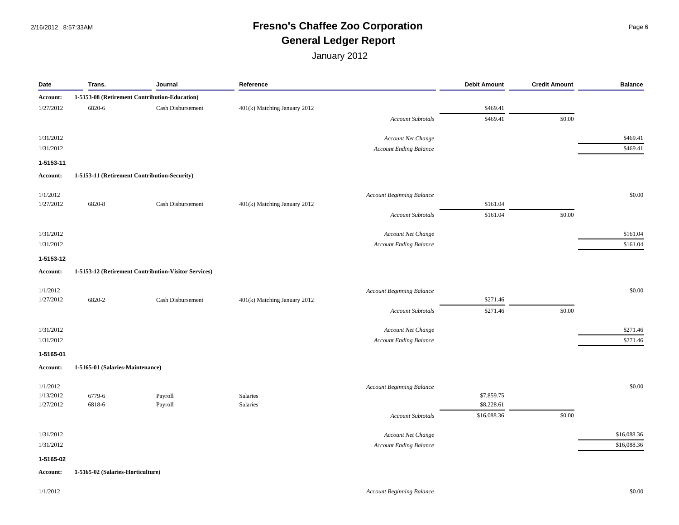#### 2/16/2012 8:57:33AM **Fresno's Chaffee Zoo Corporation** Page 6 **General Ledger Report**

| Date      | Trans.                                       | Journal                                              | Reference                    |                                  | <b>Debit Amount</b> | <b>Credit Amount</b> | <b>Balance</b> |
|-----------|----------------------------------------------|------------------------------------------------------|------------------------------|----------------------------------|---------------------|----------------------|----------------|
| Account:  |                                              | 1-5153-08 (Retirement Contribution-Education)        |                              |                                  |                     |                      |                |
| 1/27/2012 | 6820-6                                       | Cash Disbursement                                    | 401(k) Matching January 2012 |                                  | \$469.41            |                      |                |
|           |                                              |                                                      |                              | <b>Account Subtotals</b>         | \$469.41            | \$0.00               |                |
| 1/31/2012 |                                              |                                                      |                              | Account Net Change               |                     |                      | \$469.41       |
| 1/31/2012 |                                              |                                                      |                              | <b>Account Ending Balance</b>    |                     |                      | \$469.41       |
| 1-5153-11 |                                              |                                                      |                              |                                  |                     |                      |                |
| Account:  | 1-5153-11 (Retirement Contribution-Security) |                                                      |                              |                                  |                     |                      |                |
| 1/1/2012  |                                              |                                                      |                              | <b>Account Beginning Balance</b> |                     |                      | \$0.00         |
| 1/27/2012 | 6820-8                                       | Cash Disbursement                                    | 401(k) Matching January 2012 |                                  | \$161.04            |                      |                |
|           |                                              |                                                      |                              | <b>Account Subtotals</b>         | \$161.04            | \$0.00               |                |
| 1/31/2012 |                                              |                                                      |                              | Account Net Change               |                     |                      | \$161.04       |
| 1/31/2012 |                                              |                                                      |                              | <b>Account Ending Balance</b>    |                     |                      | \$161.04       |
| 1-5153-12 |                                              |                                                      |                              |                                  |                     |                      |                |
| Account:  |                                              | 1-5153-12 (Retirement Contribution-Visitor Services) |                              |                                  |                     |                      |                |
| 1/1/2012  |                                              |                                                      |                              | <b>Account Beginning Balance</b> |                     |                      | \$0.00         |
| 1/27/2012 | 6820-2                                       | Cash Disbursement                                    | 401(k) Matching January 2012 |                                  | \$271.46            |                      |                |
|           |                                              |                                                      |                              | <b>Account Subtotals</b>         | \$271.46            | \$0.00               |                |
| 1/31/2012 |                                              |                                                      |                              | Account Net Change               |                     |                      | \$271.46       |
| 1/31/2012 |                                              |                                                      |                              | <b>Account Ending Balance</b>    |                     |                      | \$271.46       |
| 1-5165-01 |                                              |                                                      |                              |                                  |                     |                      |                |
| Account:  | 1-5165-01 (Salaries-Maintenance)             |                                                      |                              |                                  |                     |                      |                |
| 1/1/2012  |                                              |                                                      |                              | Account Beginning Balance        |                     |                      | \$0.00         |
| 1/13/2012 | 6779-6                                       | Payroll                                              | Salaries                     |                                  | \$7,859.75          |                      |                |
| 1/27/2012 | 6818-6                                       | Payroll                                              | Salaries                     |                                  | \$8,228.61          |                      |                |
|           |                                              |                                                      |                              | <b>Account Subtotals</b>         | \$16,088.36         | \$0.00               |                |
| 1/31/2012 |                                              |                                                      |                              | Account Net Change               |                     |                      | \$16,088.36    |
| 1/31/2012 |                                              |                                                      |                              | <b>Account Ending Balance</b>    |                     |                      | \$16,088.36    |
| 1-5165-02 |                                              |                                                      |                              |                                  |                     |                      |                |
| Account:  | 1-5165-02 (Salaries-Horticulture)            |                                                      |                              |                                  |                     |                      |                |
|           |                                              |                                                      |                              |                                  |                     |                      |                |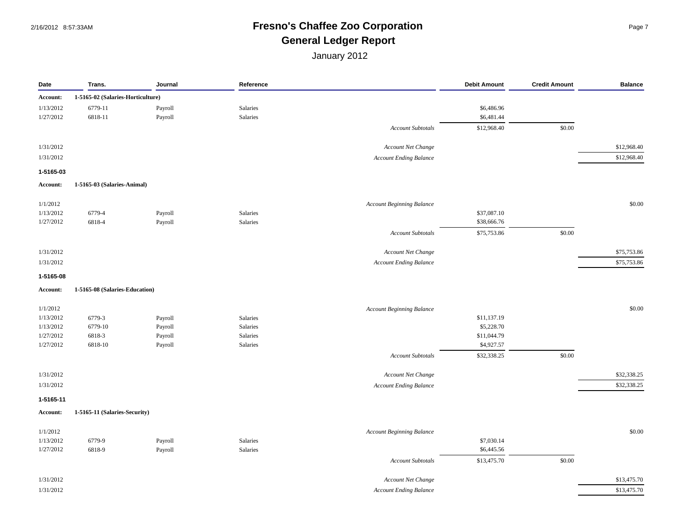### 2/16/2012 8:57:33AM **Fresno's Chaffee Zoo Corporation** Page 7 **General Ledger Report**

| Date                   | Trans.                            | Journal | Reference |                                  | <b>Debit Amount</b> | <b>Credit Amount</b> | <b>Balance</b> |
|------------------------|-----------------------------------|---------|-----------|----------------------------------|---------------------|----------------------|----------------|
| Account:               | 1-5165-02 (Salaries-Horticulture) |         |           |                                  |                     |                      |                |
| 1/13/2012              | 6779-11                           | Payroll | Salaries  |                                  | \$6,486.96          |                      |                |
| 1/27/2012              | 6818-11                           | Payroll | Salaries  |                                  | \$6,481.44          |                      |                |
|                        |                                   |         |           | <b>Account Subtotals</b>         | \$12,968.40         | \$0.00               |                |
| 1/31/2012              |                                   |         |           | Account Net Change               |                     |                      | \$12,968.40    |
| 1/31/2012              |                                   |         |           | <b>Account Ending Balance</b>    |                     |                      | \$12,968.40    |
| 1-5165-03              |                                   |         |           |                                  |                     |                      |                |
| Account:               | 1-5165-03 (Salaries-Animal)       |         |           |                                  |                     |                      |                |
|                        |                                   |         |           |                                  |                     |                      |                |
| 1/1/2012               |                                   |         |           | <b>Account Beginning Balance</b> |                     |                      | \$0.00         |
| 1/13/2012<br>1/27/2012 | 6779-4                            | Payroll | Salaries  |                                  | \$37,087.10         |                      |                |
|                        | 6818-4                            | Payroll | Salaries  |                                  | \$38,666.76         |                      |                |
|                        |                                   |         |           | <b>Account Subtotals</b>         | \$75,753.86         | \$0.00               |                |
| 1/31/2012              |                                   |         |           | Account Net Change               |                     |                      | \$75,753.86    |
| 1/31/2012              |                                   |         |           | <b>Account Ending Balance</b>    |                     |                      | \$75,753.86    |
| 1-5165-08              |                                   |         |           |                                  |                     |                      |                |
| Account:               | 1-5165-08 (Salaries-Education)    |         |           |                                  |                     |                      |                |
| 1/1/2012               |                                   |         |           | <b>Account Beginning Balance</b> |                     |                      | \$0.00         |
| 1/13/2012              | 6779-3                            | Payroll | Salaries  |                                  | \$11,137.19         |                      |                |
| 1/13/2012              | 6779-10                           | Payroll | Salaries  |                                  | \$5,228.70          |                      |                |
| 1/27/2012              | 6818-3                            | Payroll | Salaries  |                                  | \$11,044.79         |                      |                |
| 1/27/2012              | 6818-10                           | Payroll | Salaries  |                                  | \$4,927.57          |                      |                |
|                        |                                   |         |           | Account Subtotals                | \$32,338.25         | \$0.00               |                |
| 1/31/2012              |                                   |         |           | Account Net Change               |                     |                      | \$32,338.25    |
| 1/31/2012              |                                   |         |           | <b>Account Ending Balance</b>    |                     |                      | \$32,338.25    |
| 1-5165-11              |                                   |         |           |                                  |                     |                      |                |
| Account:               | 1-5165-11 (Salaries-Security)     |         |           |                                  |                     |                      |                |
| 1/1/2012               |                                   |         |           | <b>Account Beginning Balance</b> |                     |                      | \$0.00         |
| 1/13/2012              | 6779-9                            | Payroll | Salaries  |                                  | \$7,030.14          |                      |                |
| 1/27/2012              | 6818-9                            | Payroll | Salaries  |                                  | \$6,445.56          |                      |                |
|                        |                                   |         |           | <b>Account Subtotals</b>         | \$13,475.70         | \$0.00               |                |
| 1/31/2012              |                                   |         |           | Account Net Change               |                     |                      | \$13,475.70    |
| 1/31/2012              |                                   |         |           | <b>Account Ending Balance</b>    |                     |                      | \$13,475.70    |
|                        |                                   |         |           |                                  |                     |                      |                |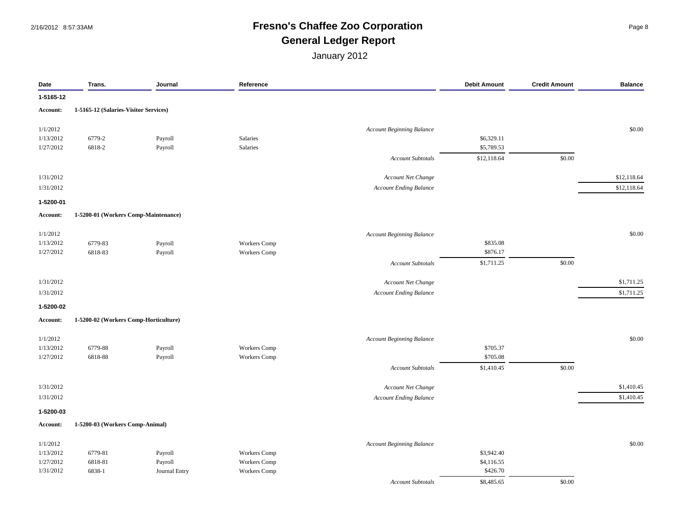## 2/16/2012 8:57:33AM **Fresno's Chaffee Zoo Corporation** Page 8 **General Ledger Report**

| Date      | Trans.                                | Journal       | Reference           |                                  | <b>Debit Amount</b> | <b>Credit Amount</b> | <b>Balance</b> |
|-----------|---------------------------------------|---------------|---------------------|----------------------------------|---------------------|----------------------|----------------|
| 1-5165-12 |                                       |               |                     |                                  |                     |                      |                |
| Account:  | 1-5165-12 (Salaries-Visitor Services) |               |                     |                                  |                     |                      |                |
| 1/1/2012  |                                       |               |                     | <b>Account Beginning Balance</b> |                     |                      | \$0.00         |
| 1/13/2012 | 6779-2                                | Payroll       | Salaries            |                                  | \$6,329.11          |                      |                |
| 1/27/2012 | 6818-2                                | Payroll       | Salaries            |                                  | \$5,789.53          |                      |                |
|           |                                       |               |                     | <b>Account Subtotals</b>         | \$12,118.64         | \$0.00               |                |
| 1/31/2012 |                                       |               |                     | Account Net Change               |                     |                      | \$12,118.64    |
| 1/31/2012 |                                       |               |                     | <b>Account Ending Balance</b>    |                     |                      | \$12,118.64    |
| 1-5200-01 |                                       |               |                     |                                  |                     |                      |                |
| Account:  | 1-5200-01 (Workers Comp-Maintenance)  |               |                     |                                  |                     |                      |                |
| 1/1/2012  |                                       |               |                     | <b>Account Beginning Balance</b> |                     |                      | \$0.00         |
| 1/13/2012 | 6779-83                               | Payroll       | <b>Workers</b> Comp |                                  | \$835.08            |                      |                |
| 1/27/2012 | 6818-83                               | Payroll       | Workers Comp        |                                  | \$876.17            |                      |                |
|           |                                       |               |                     | <b>Account Subtotals</b>         | \$1,711.25          | \$0.00               |                |
| 1/31/2012 |                                       |               |                     | Account Net Change               |                     |                      | \$1,711.25     |
| 1/31/2012 |                                       |               |                     | <b>Account Ending Balance</b>    |                     |                      | \$1,711.25     |
| 1-5200-02 |                                       |               |                     |                                  |                     |                      |                |
| Account:  | 1-5200-02 (Workers Comp-Horticulture) |               |                     |                                  |                     |                      |                |
| 1/1/2012  |                                       |               |                     | <b>Account Beginning Balance</b> |                     |                      | \$0.00         |
| 1/13/2012 | 6779-88                               | Payroll       | Workers Comp        |                                  | \$705.37            |                      |                |
| 1/27/2012 | 6818-88                               | Payroll       | Workers Comp        |                                  | \$705.08            |                      |                |
|           |                                       |               |                     | <b>Account Subtotals</b>         | \$1,410.45          | \$0.00               |                |
| 1/31/2012 |                                       |               |                     | Account Net Change               |                     |                      | \$1,410.45     |
| 1/31/2012 |                                       |               |                     | <b>Account Ending Balance</b>    |                     |                      | \$1,410.45     |
| 1-5200-03 |                                       |               |                     |                                  |                     |                      |                |
| Account:  | 1-5200-03 (Workers Comp-Animal)       |               |                     |                                  |                     |                      |                |
| 1/1/2012  |                                       |               |                     | <b>Account Beginning Balance</b> |                     |                      | \$0.00         |
| 1/13/2012 | 6779-81                               | Payroll       | Workers Comp        |                                  | \$3,942.40          |                      |                |
| 1/27/2012 | 6818-81                               | Payroll       | Workers Comp        |                                  | \$4,116.55          |                      |                |
| 1/31/2012 | 6838-1                                | Journal Entry | Workers Comp        |                                  | \$426.70            |                      |                |
|           |                                       |               |                     | <b>Account Subtotals</b>         | \$8,485.65          | \$0.00               |                |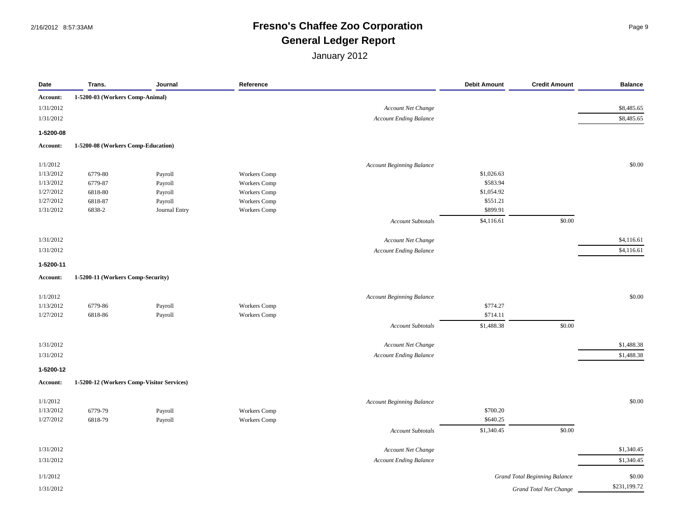## 2/16/2012 8:57:33AM **Fresno's Chaffee Zoo Corporation** Page 9 **General Ledger Report**

| Date      | Trans.                                    | Journal                  | Reference           |                                  | <b>Debit Amount</b> | <b>Credit Amount</b>                 | <b>Balance</b> |
|-----------|-------------------------------------------|--------------------------|---------------------|----------------------------------|---------------------|--------------------------------------|----------------|
| Account:  | 1-5200-03 (Workers Comp-Animal)           |                          |                     |                                  |                     |                                      |                |
| 1/31/2012 |                                           |                          |                     | Account Net Change               |                     |                                      | \$8,485.65     |
| 1/31/2012 |                                           |                          |                     | <b>Account Ending Balance</b>    |                     |                                      | \$8,485.65     |
| 1-5200-08 |                                           |                          |                     |                                  |                     |                                      |                |
| Account:  | 1-5200-08 (Workers Comp-Education)        |                          |                     |                                  |                     |                                      |                |
| 1/1/2012  |                                           |                          |                     | <b>Account Beginning Balance</b> |                     |                                      | \$0.00         |
| 1/13/2012 | 6779-80                                   | Payroll                  | <b>Workers</b> Comp |                                  | \$1,026.63          |                                      |                |
| 1/13/2012 | 6779-87                                   | Payroll                  | <b>Workers</b> Comp |                                  | \$583.94            |                                      |                |
| 1/27/2012 | 6818-80                                   | Payroll                  | <b>Workers</b> Comp |                                  | \$1,054.92          |                                      |                |
| 1/27/2012 | 6818-87                                   |                          | Workers Comp        |                                  | \$551.21            |                                      |                |
| 1/31/2012 | 6838-2                                    | Payroll<br>Journal Entry | <b>Workers</b> Comp |                                  | \$899.91            |                                      |                |
|           |                                           |                          |                     |                                  |                     | \$0.00                               |                |
|           |                                           |                          |                     | <b>Account Subtotals</b>         | \$4,116.61          |                                      |                |
| 1/31/2012 |                                           |                          |                     | Account Net Change               |                     |                                      | \$4,116.61     |
| 1/31/2012 |                                           |                          |                     | <b>Account Ending Balance</b>    |                     |                                      | \$4,116.61     |
| 1-5200-11 |                                           |                          |                     |                                  |                     |                                      |                |
| Account:  | 1-5200-11 (Workers Comp-Security)         |                          |                     |                                  |                     |                                      |                |
| 1/1/2012  |                                           |                          |                     | <b>Account Beginning Balance</b> |                     |                                      | \$0.00         |
| 1/13/2012 | 6779-86                                   | Payroll                  | Workers Comp        |                                  | \$774.27            |                                      |                |
| 1/27/2012 | 6818-86                                   |                          | Workers Comp        |                                  | \$714.11            |                                      |                |
|           |                                           | Payroll                  |                     |                                  |                     |                                      |                |
|           |                                           |                          |                     | <b>Account Subtotals</b>         | \$1,488.38          | \$0.00                               |                |
| 1/31/2012 |                                           |                          |                     | Account Net Change               |                     |                                      | \$1,488.38     |
| 1/31/2012 |                                           |                          |                     | <b>Account Ending Balance</b>    |                     |                                      | \$1,488.38     |
| 1-5200-12 |                                           |                          |                     |                                  |                     |                                      |                |
| Account:  | 1-5200-12 (Workers Comp-Visitor Services) |                          |                     |                                  |                     |                                      |                |
| 1/1/2012  |                                           |                          |                     | <b>Account Beginning Balance</b> |                     |                                      | \$0.00         |
| 1/13/2012 | 6779-79                                   | Payroll                  | Workers Comp        |                                  | \$700.20            |                                      |                |
| 1/27/2012 | 6818-79                                   | Payroll                  | <b>Workers</b> Comp |                                  | \$640.25            |                                      |                |
|           |                                           |                          |                     |                                  |                     | \$0.00                               |                |
|           |                                           |                          |                     | <b>Account Subtotals</b>         | \$1,340.45          |                                      |                |
| 1/31/2012 |                                           |                          |                     | Account Net Change               |                     |                                      | \$1,340.45     |
| 1/31/2012 |                                           |                          |                     | <b>Account Ending Balance</b>    |                     |                                      | \$1,340.45     |
| 1/1/2012  |                                           |                          |                     |                                  |                     | <b>Grand Total Beginning Balance</b> | \$0.00         |
| 1/31/2012 |                                           |                          |                     |                                  |                     | Grand Total Net Change               | \$231,199.72   |